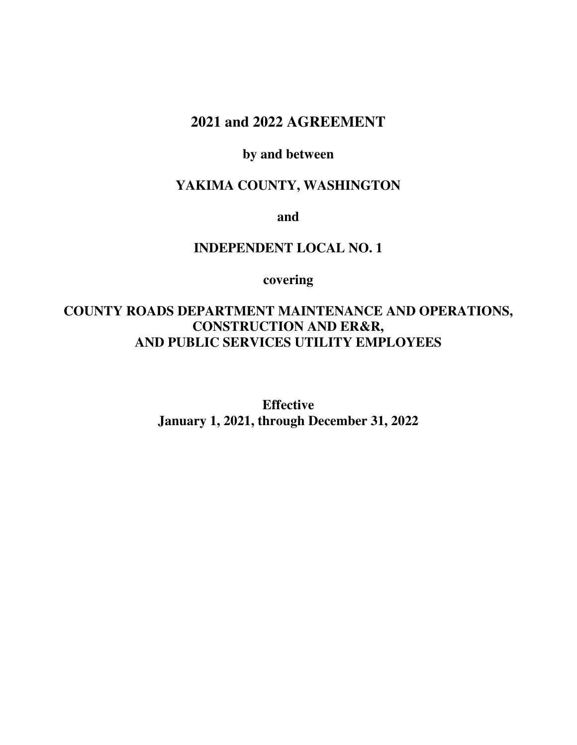# **2021 and 2022 AGREEMENT**

# **by and between**

# **YAKIMA COUNTY, WASHINGTON**

**and** 

## **INDEPENDENT LOCAL NO. 1**

**covering** 

# **COUNTY ROADS DEPARTMENT MAINTENANCE AND OPERATIONS, CONSTRUCTION AND ER&R, AND PUBLIC SERVICES UTILITY EMPLOYEES**

**Effective January 1, 2021, through December 31, 2022**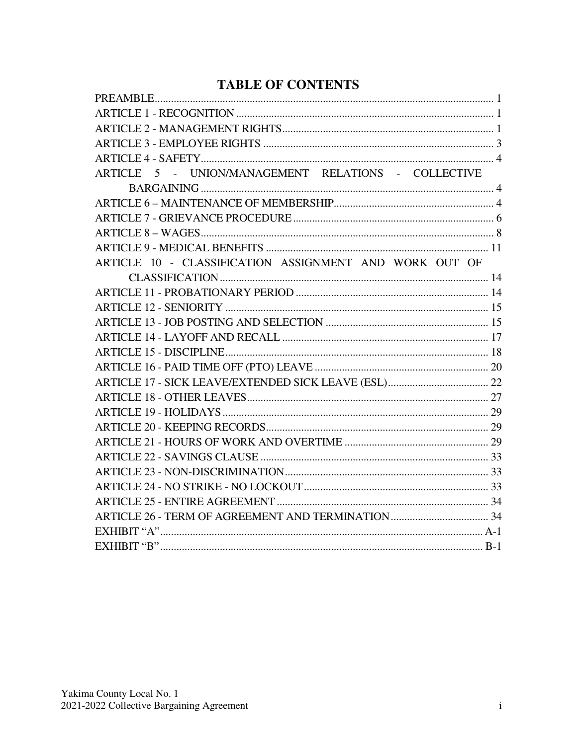# **TABLE OF CONTENTS**

| ARTICLE 5 - UNION/MANAGEMENT RELATIONS - COLLECTIVE    |  |
|--------------------------------------------------------|--|
|                                                        |  |
|                                                        |  |
|                                                        |  |
|                                                        |  |
|                                                        |  |
| ARTICLE 10 - CLASSIFICATION ASSIGNMENT AND WORK OUT OF |  |
|                                                        |  |
|                                                        |  |
|                                                        |  |
|                                                        |  |
|                                                        |  |
|                                                        |  |
|                                                        |  |
|                                                        |  |
|                                                        |  |
|                                                        |  |
|                                                        |  |
|                                                        |  |
|                                                        |  |
|                                                        |  |
|                                                        |  |
|                                                        |  |
|                                                        |  |
|                                                        |  |
|                                                        |  |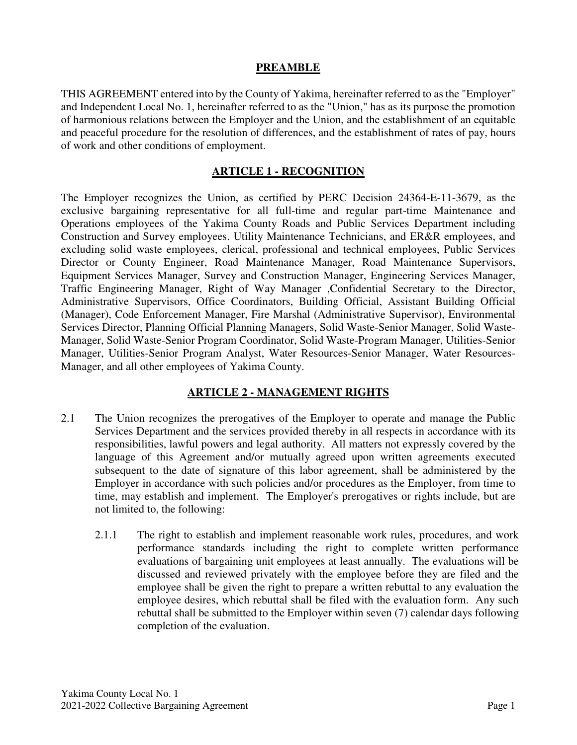#### **PREAMBLE**

THIS AGREEMENT entered into by the County of Yakima, hereinafter referred to as the "Employer" and Independent Local No. 1, hereinafter referred to as the "Union," has as its purpose the promotion of harmonious relations between the Employer and the Union, and the establishment of an equitable and peaceful procedure for the resolution of differences, and the establishment of rates of pay, hours of work and other conditions of employment.

#### **ARTICLE 1 - RECOGNITION**

The Employer recognizes the Union, as certified by PERC Decision 24364-E-11-3679, as the exclusive bargaining representative for all full-time and regular part-time Maintenance and Operations employees of the Yakima County Roads and Public Services Department including Construction and Survey employees. Utility Maintenance Technicians, and ER&R employees, and excluding solid waste employees, clerical, professional and technical employees, Public Services Director or County Engineer, Road Maintenance Manager, Road Maintenance Supervisors, Equipment Services Manager, Survey and Construction Manager, Engineering Services Manager, Traffic Engineering Manager, Right of Way Manager ,Confidential Secretary to the Director, Administrative Supervisors, Office Coordinators, Building Official, Assistant Building Official (Manager), Code Enforcement Manager, Fire Marshal (Administrative Supervisor), Environmental Services Director, Planning Official Planning Managers, Solid Waste-Senior Manager, Solid Waste-Manager, Solid Waste-Senior Program Coordinator, Solid Waste-Program Manager, Utilities-Senior Manager, Utilities-Senior Program Analyst, Water Resources-Senior Manager, Water Resources-Manager, and all other employees of Yakima County.

#### **ARTICLE 2 - MANAGEMENT RIGHTS**

- 2.1 The Union recognizes the prerogatives of the Employer to operate and manage the Public Services Department and the services provided thereby in all respects in accordance with its responsibilities, lawful powers and legal authority. All matters not expressly covered by the language of this Agreement and/or mutually agreed upon written agreements executed subsequent to the date of signature of this labor agreement, shall be administered by the Employer in accordance with such policies and/or procedures as the Employer, from time to time, may establish and implement. The Employer's prerogatives or rights include, but are not limited to, the following:
	- 2.1.1 The right to establish and implement reasonable work rules, procedures, and work performance standards including the right to complete written performance evaluations of bargaining unit employees at least annually. The evaluations will be discussed and reviewed privately with the employee before they are filed and the employee shall be given the right to prepare a written rebuttal to any evaluation the employee desires, which rebuttal shall be filed with the evaluation form. Any such rebuttal shall be submitted to the Employer within seven (7) calendar days following completion of the evaluation.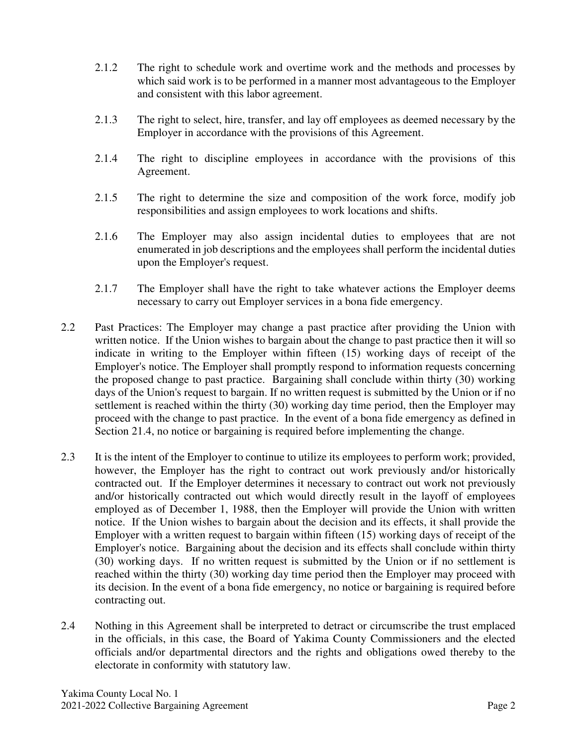- 2.1.2 The right to schedule work and overtime work and the methods and processes by which said work is to be performed in a manner most advantageous to the Employer and consistent with this labor agreement.
- 2.1.3 The right to select, hire, transfer, and lay off employees as deemed necessary by the Employer in accordance with the provisions of this Agreement.
- 2.1.4 The right to discipline employees in accordance with the provisions of this Agreement.
- 2.1.5 The right to determine the size and composition of the work force, modify job responsibilities and assign employees to work locations and shifts.
- 2.1.6 The Employer may also assign incidental duties to employees that are not enumerated in job descriptions and the employees shall perform the incidental duties upon the Employer's request.
- 2.1.7 The Employer shall have the right to take whatever actions the Employer deems necessary to carry out Employer services in a bona fide emergency.
- 2.2 Past Practices: The Employer may change a past practice after providing the Union with written notice. If the Union wishes to bargain about the change to past practice then it will so indicate in writing to the Employer within fifteen (15) working days of receipt of the Employer's notice. The Employer shall promptly respond to information requests concerning the proposed change to past practice. Bargaining shall conclude within thirty (30) working days of the Union's request to bargain. If no written request is submitted by the Union or if no settlement is reached within the thirty (30) working day time period, then the Employer may proceed with the change to past practice. In the event of a bona fide emergency as defined in Section 21.4, no notice or bargaining is required before implementing the change.
- 2.3 It is the intent of the Employer to continue to utilize its employees to perform work; provided, however, the Employer has the right to contract out work previously and/or historically contracted out. If the Employer determines it necessary to contract out work not previously and/or historically contracted out which would directly result in the layoff of employees employed as of December 1, 1988, then the Employer will provide the Union with written notice. If the Union wishes to bargain about the decision and its effects, it shall provide the Employer with a written request to bargain within fifteen (15) working days of receipt of the Employer's notice. Bargaining about the decision and its effects shall conclude within thirty (30) working days. If no written request is submitted by the Union or if no settlement is reached within the thirty (30) working day time period then the Employer may proceed with its decision. In the event of a bona fide emergency, no notice or bargaining is required before contracting out.
- 2.4 Nothing in this Agreement shall be interpreted to detract or circumscribe the trust emplaced in the officials, in this case, the Board of Yakima County Commissioners and the elected officials and/or departmental directors and the rights and obligations owed thereby to the electorate in conformity with statutory law.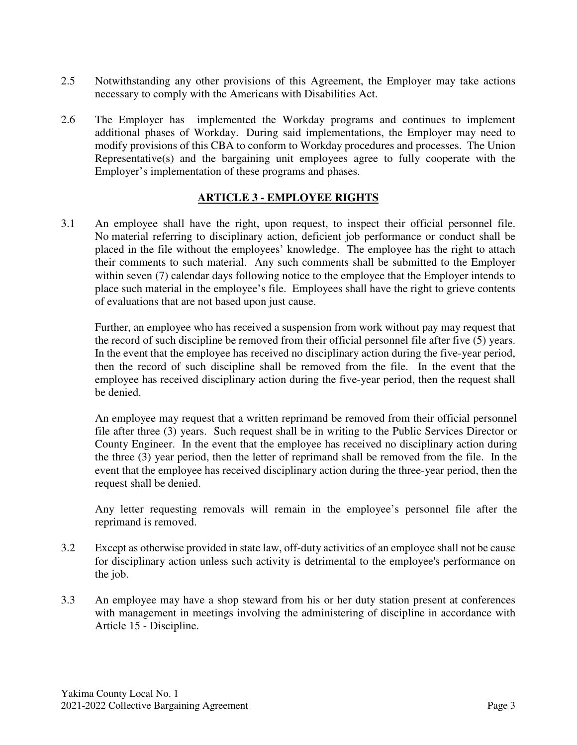- 2.5 Notwithstanding any other provisions of this Agreement, the Employer may take actions necessary to comply with the Americans with Disabilities Act.
- 2.6 The Employer has implemented the Workday programs and continues to implement additional phases of Workday. During said implementations, the Employer may need to modify provisions of this CBA to conform to Workday procedures and processes. The Union Representative(s) and the bargaining unit employees agree to fully cooperate with the Employer's implementation of these programs and phases.

## **ARTICLE 3 - EMPLOYEE RIGHTS**

3.1 An employee shall have the right, upon request, to inspect their official personnel file. No material referring to disciplinary action, deficient job performance or conduct shall be placed in the file without the employees' knowledge. The employee has the right to attach their comments to such material. Any such comments shall be submitted to the Employer within seven (7) calendar days following notice to the employee that the Employer intends to place such material in the employee's file. Employees shall have the right to grieve contents of evaluations that are not based upon just cause.

Further, an employee who has received a suspension from work without pay may request that the record of such discipline be removed from their official personnel file after five (5) years. In the event that the employee has received no disciplinary action during the five-year period, then the record of such discipline shall be removed from the file. In the event that the employee has received disciplinary action during the five-year period, then the request shall be denied.

An employee may request that a written reprimand be removed from their official personnel file after three (3) years. Such request shall be in writing to the Public Services Director or County Engineer. In the event that the employee has received no disciplinary action during the three (3) year period, then the letter of reprimand shall be removed from the file. In the event that the employee has received disciplinary action during the three-year period, then the request shall be denied.

Any letter requesting removals will remain in the employee's personnel file after the reprimand is removed.

- 3.2 Except as otherwise provided in state law, off-duty activities of an employee shall not be cause for disciplinary action unless such activity is detrimental to the employee's performance on the job.
- 3.3 An employee may have a shop steward from his or her duty station present at conferences with management in meetings involving the administering of discipline in accordance with Article 15 - Discipline.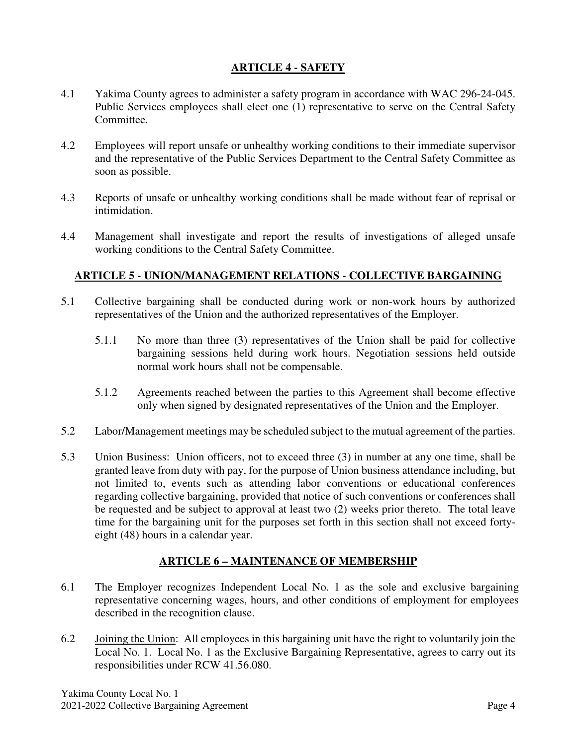## **ARTICLE 4 - SAFETY**

- 4.1 Yakima County agrees to administer a safety program in accordance with WAC 296-24-045. Public Services employees shall elect one (1) representative to serve on the Central Safety Committee.
- 4.2 Employees will report unsafe or unhealthy working conditions to their immediate supervisor and the representative of the Public Services Department to the Central Safety Committee as soon as possible.
- 4.3 Reports of unsafe or unhealthy working conditions shall be made without fear of reprisal or intimidation.
- 4.4 Management shall investigate and report the results of investigations of alleged unsafe working conditions to the Central Safety Committee.

## **ARTICLE 5 - UNION/MANAGEMENT RELATIONS - COLLECTIVE BARGAINING**

- 5.1 Collective bargaining shall be conducted during work or non-work hours by authorized representatives of the Union and the authorized representatives of the Employer.
	- 5.1.1 No more than three (3) representatives of the Union shall be paid for collective bargaining sessions held during work hours. Negotiation sessions held outside normal work hours shall not be compensable.
	- 5.1.2 Agreements reached between the parties to this Agreement shall become effective only when signed by designated representatives of the Union and the Employer.
- 5.2 Labor/Management meetings may be scheduled subject to the mutual agreement of the parties.
- 5.3 Union Business: Union officers, not to exceed three (3) in number at any one time, shall be granted leave from duty with pay, for the purpose of Union business attendance including, but not limited to, events such as attending labor conventions or educational conferences regarding collective bargaining, provided that notice of such conventions or conferences shall be requested and be subject to approval at least two (2) weeks prior thereto. The total leave time for the bargaining unit for the purposes set forth in this section shall not exceed fortyeight (48) hours in a calendar year.

## **ARTICLE 6 – MAINTENANCE OF MEMBERSHIP**

- 6.1 The Employer recognizes Independent Local No. 1 as the sole and exclusive bargaining representative concerning wages, hours, and other conditions of employment for employees described in the recognition clause.
- 6.2 Joining the Union: All employees in this bargaining unit have the right to voluntarily join the Local No. 1. Local No. 1 as the Exclusive Bargaining Representative, agrees to carry out its responsibilities under RCW 41.56.080.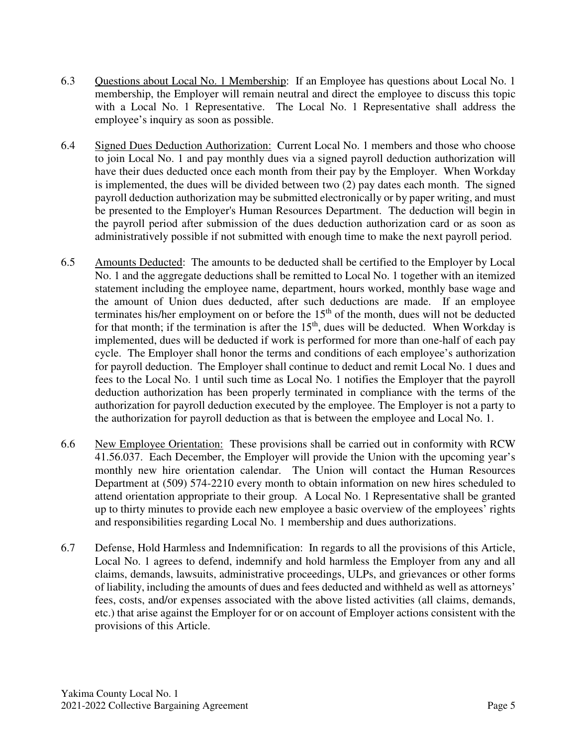- 6.3 Questions about Local No. 1 Membership: If an Employee has questions about Local No. 1 membership, the Employer will remain neutral and direct the employee to discuss this topic with a Local No. 1 Representative. The Local No. 1 Representative shall address the employee's inquiry as soon as possible.
- 6.4 Signed Dues Deduction Authorization: Current Local No. 1 members and those who choose to join Local No. 1 and pay monthly dues via a signed payroll deduction authorization will have their dues deducted once each month from their pay by the Employer. When Workday is implemented, the dues will be divided between two (2) pay dates each month. The signed payroll deduction authorization may be submitted electronically or by paper writing, and must be presented to the Employer's Human Resources Department. The deduction will begin in the payroll period after submission of the dues deduction authorization card or as soon as administratively possible if not submitted with enough time to make the next payroll period.
- 6.5 Amounts Deducted: The amounts to be deducted shall be certified to the Employer by Local No. 1 and the aggregate deductions shall be remitted to Local No. 1 together with an itemized statement including the employee name, department, hours worked, monthly base wage and the amount of Union dues deducted, after such deductions are made. If an employee terminates his/her employment on or before the  $15<sup>th</sup>$  of the month, dues will not be deducted for that month; if the termination is after the  $15<sup>th</sup>$ , dues will be deducted. When Workday is implemented, dues will be deducted if work is performed for more than one-half of each pay cycle. The Employer shall honor the terms and conditions of each employee's authorization for payroll deduction. The Employer shall continue to deduct and remit Local No. 1 dues and fees to the Local No. 1 until such time as Local No. 1 notifies the Employer that the payroll deduction authorization has been properly terminated in compliance with the terms of the authorization for payroll deduction executed by the employee. The Employer is not a party to the authorization for payroll deduction as that is between the employee and Local No. 1.
- 6.6 New Employee Orientation: These provisions shall be carried out in conformity with RCW 41.56.037. Each December, the Employer will provide the Union with the upcoming year's monthly new hire orientation calendar. The Union will contact the Human Resources Department at (509) 574-2210 every month to obtain information on new hires scheduled to attend orientation appropriate to their group. A Local No. 1 Representative shall be granted up to thirty minutes to provide each new employee a basic overview of the employees' rights and responsibilities regarding Local No. 1 membership and dues authorizations.
- 6.7 Defense, Hold Harmless and Indemnification: In regards to all the provisions of this Article, Local No. 1 agrees to defend, indemnify and hold harmless the Employer from any and all claims, demands, lawsuits, administrative proceedings, ULPs, and grievances or other forms of liability, including the amounts of dues and fees deducted and withheld as well as attorneys' fees, costs, and/or expenses associated with the above listed activities (all claims, demands, etc.) that arise against the Employer for or on account of Employer actions consistent with the provisions of this Article.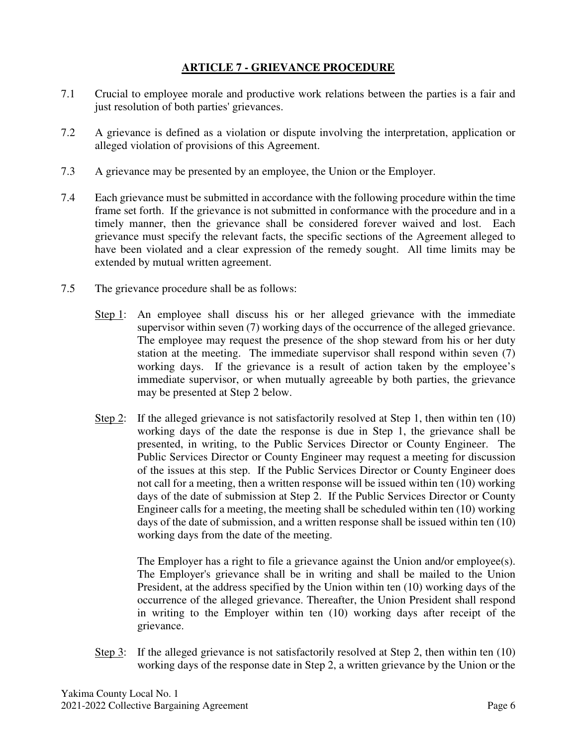## **ARTICLE 7 - GRIEVANCE PROCEDURE**

- 7.1 Crucial to employee morale and productive work relations between the parties is a fair and just resolution of both parties' grievances.
- 7.2 A grievance is defined as a violation or dispute involving the interpretation, application or alleged violation of provisions of this Agreement.
- 7.3 A grievance may be presented by an employee, the Union or the Employer.
- 7.4 Each grievance must be submitted in accordance with the following procedure within the time frame set forth. If the grievance is not submitted in conformance with the procedure and in a timely manner, then the grievance shall be considered forever waived and lost. Each grievance must specify the relevant facts, the specific sections of the Agreement alleged to have been violated and a clear expression of the remedy sought. All time limits may be extended by mutual written agreement.
- 7.5 The grievance procedure shall be as follows:
	- Step 1: An employee shall discuss his or her alleged grievance with the immediate supervisor within seven (7) working days of the occurrence of the alleged grievance. The employee may request the presence of the shop steward from his or her duty station at the meeting. The immediate supervisor shall respond within seven (7) working days. If the grievance is a result of action taken by the employee's immediate supervisor, or when mutually agreeable by both parties, the grievance may be presented at Step 2 below.
	- Step 2: If the alleged grievance is not satisfactorily resolved at Step 1, then within ten (10) working days of the date the response is due in Step 1, the grievance shall be presented, in writing, to the Public Services Director or County Engineer. The Public Services Director or County Engineer may request a meeting for discussion of the issues at this step. If the Public Services Director or County Engineer does not call for a meeting, then a written response will be issued within ten (10) working days of the date of submission at Step 2. If the Public Services Director or County Engineer calls for a meeting, the meeting shall be scheduled within ten (10) working days of the date of submission, and a written response shall be issued within ten (10) working days from the date of the meeting.

The Employer has a right to file a grievance against the Union and/or employee(s). The Employer's grievance shall be in writing and shall be mailed to the Union President, at the address specified by the Union within ten (10) working days of the occurrence of the alleged grievance. Thereafter, the Union President shall respond in writing to the Employer within ten (10) working days after receipt of the grievance.

Step 3: If the alleged grievance is not satisfactorily resolved at Step 2, then within ten (10) working days of the response date in Step 2, a written grievance by the Union or the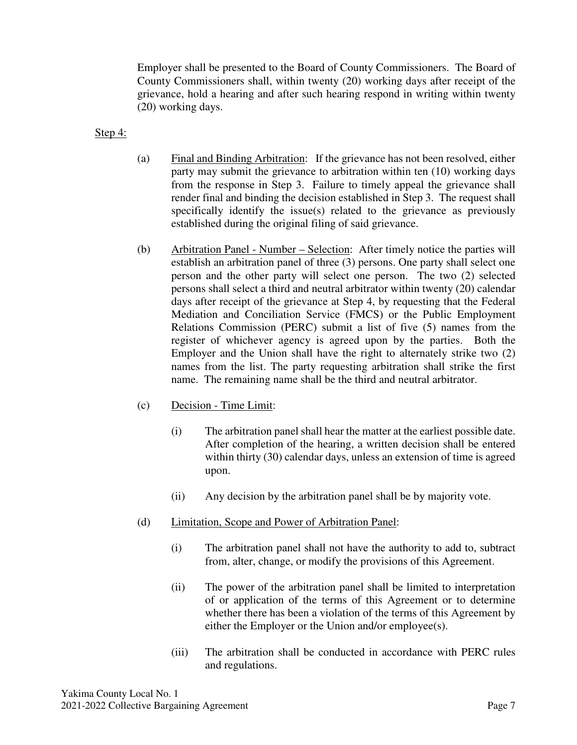Employer shall be presented to the Board of County Commissioners. The Board of County Commissioners shall, within twenty (20) working days after receipt of the grievance, hold a hearing and after such hearing respond in writing within twenty (20) working days.

Step 4:

- (a) Final and Binding Arbitration: If the grievance has not been resolved, either party may submit the grievance to arbitration within ten (10) working days from the response in Step 3. Failure to timely appeal the grievance shall render final and binding the decision established in Step 3. The request shall specifically identify the issue(s) related to the grievance as previously established during the original filing of said grievance.
- (b) Arbitration Panel Number Selection: After timely notice the parties will establish an arbitration panel of three (3) persons. One party shall select one person and the other party will select one person. The two (2) selected persons shall select a third and neutral arbitrator within twenty (20) calendar days after receipt of the grievance at Step 4, by requesting that the Federal Mediation and Conciliation Service (FMCS) or the Public Employment Relations Commission (PERC) submit a list of five (5) names from the register of whichever agency is agreed upon by the parties. Both the Employer and the Union shall have the right to alternately strike two (2) names from the list. The party requesting arbitration shall strike the first name. The remaining name shall be the third and neutral arbitrator.
- (c) Decision Time Limit:
	- (i) The arbitration panel shall hear the matter at the earliest possible date. After completion of the hearing, a written decision shall be entered within thirty (30) calendar days, unless an extension of time is agreed upon.
	- (ii) Any decision by the arbitration panel shall be by majority vote.
- (d) Limitation, Scope and Power of Arbitration Panel:
	- (i) The arbitration panel shall not have the authority to add to, subtract from, alter, change, or modify the provisions of this Agreement.
	- (ii) The power of the arbitration panel shall be limited to interpretation of or application of the terms of this Agreement or to determine whether there has been a violation of the terms of this Agreement by either the Employer or the Union and/or employee(s).
	- (iii) The arbitration shall be conducted in accordance with PERC rules and regulations.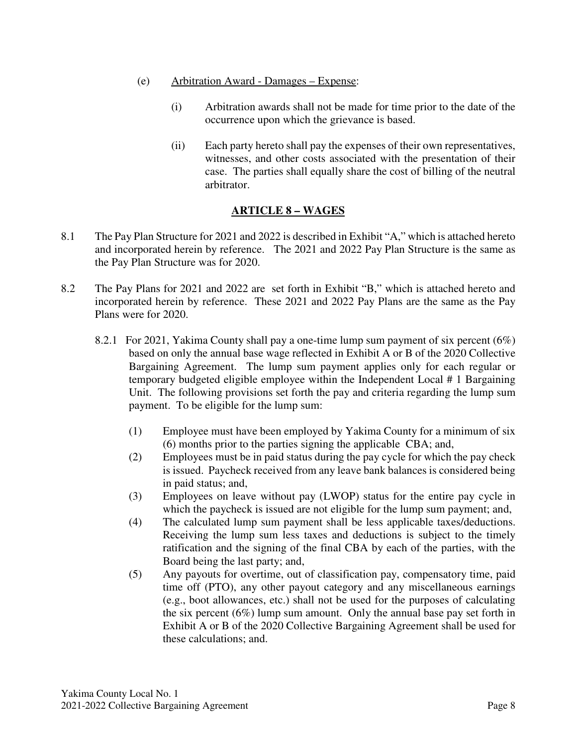- (e) Arbitration Award Damages Expense:
	- (i) Arbitration awards shall not be made for time prior to the date of the occurrence upon which the grievance is based.
	- (ii) Each party hereto shall pay the expenses of their own representatives, witnesses, and other costs associated with the presentation of their case. The parties shall equally share the cost of billing of the neutral arbitrator.

## **ARTICLE 8 – WAGES**

- 8.1 The Pay Plan Structure for 2021 and 2022 is described in Exhibit "A," which is attached hereto and incorporated herein by reference. The 2021 and 2022 Pay Plan Structure is the same as the Pay Plan Structure was for 2020.
- 8.2 The Pay Plans for 2021 and 2022 are set forth in Exhibit "B," which is attached hereto and incorporated herein by reference. These 2021 and 2022 Pay Plans are the same as the Pay Plans were for 2020.
	- 8.2.1 For 2021, Yakima County shall pay a one-time lump sum payment of six percent (6%) based on only the annual base wage reflected in Exhibit A or B of the 2020 Collective Bargaining Agreement. The lump sum payment applies only for each regular or temporary budgeted eligible employee within the Independent Local # 1 Bargaining Unit. The following provisions set forth the pay and criteria regarding the lump sum payment. To be eligible for the lump sum:
		- (1) Employee must have been employed by Yakima County for a minimum of six (6) months prior to the parties signing the applicable CBA; and,
		- (2) Employees must be in paid status during the pay cycle for which the pay check is issued. Paycheck received from any leave bank balances is considered being in paid status; and,
		- (3) Employees on leave without pay (LWOP) status for the entire pay cycle in which the paycheck is issued are not eligible for the lump sum payment; and,
		- (4) The calculated lump sum payment shall be less applicable taxes/deductions. Receiving the lump sum less taxes and deductions is subject to the timely ratification and the signing of the final CBA by each of the parties, with the Board being the last party; and,
		- (5) Any payouts for overtime, out of classification pay, compensatory time, paid time off (PTO), any other payout category and any miscellaneous earnings (e.g., boot allowances, etc.) shall not be used for the purposes of calculating the six percent (6%) lump sum amount. Only the annual base pay set forth in Exhibit A or B of the 2020 Collective Bargaining Agreement shall be used for these calculations; and.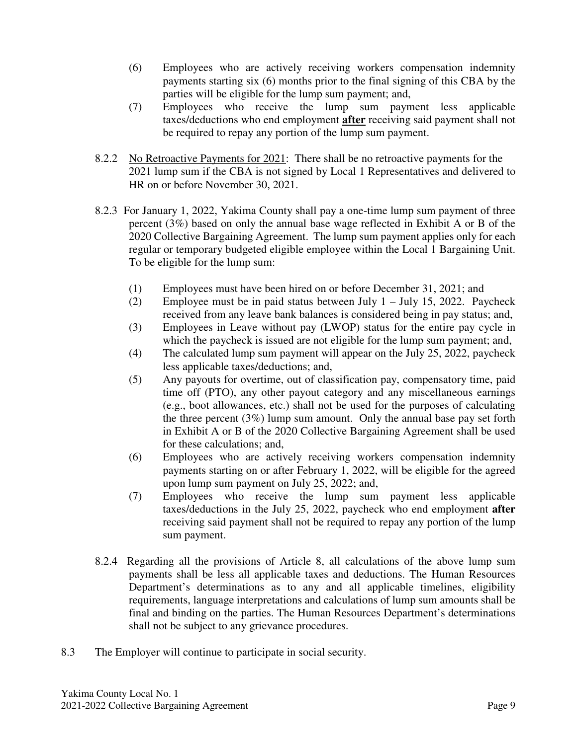- (6) Employees who are actively receiving workers compensation indemnity payments starting six (6) months prior to the final signing of this CBA by the parties will be eligible for the lump sum payment; and,
- (7) Employees who receive the lump sum payment less applicable taxes/deductions who end employment **after** receiving said payment shall not be required to repay any portion of the lump sum payment.
- 8.2.2 No Retroactive Payments for 2021: There shall be no retroactive payments for the 2021 lump sum if the CBA is not signed by Local 1 Representatives and delivered to HR on or before November 30, 2021.
- 8.2.3 For January 1, 2022, Yakima County shall pay a one-time lump sum payment of three percent (3%) based on only the annual base wage reflected in Exhibit A or B of the 2020 Collective Bargaining Agreement. The lump sum payment applies only for each regular or temporary budgeted eligible employee within the Local 1 Bargaining Unit. To be eligible for the lump sum:
	- (1) Employees must have been hired on or before December 31, 2021; and
	- (2) Employee must be in paid status between July  $1 -$  July 15, 2022. Paycheck received from any leave bank balances is considered being in pay status; and,
	- (3) Employees in Leave without pay (LWOP) status for the entire pay cycle in which the paycheck is issued are not eligible for the lump sum payment; and,
	- (4) The calculated lump sum payment will appear on the July 25, 2022, paycheck less applicable taxes/deductions; and,
	- (5) Any payouts for overtime, out of classification pay, compensatory time, paid time off (PTO), any other payout category and any miscellaneous earnings (e.g., boot allowances, etc.) shall not be used for the purposes of calculating the three percent (3%) lump sum amount. Only the annual base pay set forth in Exhibit A or B of the 2020 Collective Bargaining Agreement shall be used for these calculations; and,
	- (6) Employees who are actively receiving workers compensation indemnity payments starting on or after February 1, 2022, will be eligible for the agreed upon lump sum payment on July 25, 2022; and,
	- (7) Employees who receive the lump sum payment less applicable taxes/deductions in the July 25, 2022, paycheck who end employment **after**  receiving said payment shall not be required to repay any portion of the lump sum payment.
- 8.2.4 Regarding all the provisions of Article 8, all calculations of the above lump sum payments shall be less all applicable taxes and deductions. The Human Resources Department's determinations as to any and all applicable timelines, eligibility requirements, language interpretations and calculations of lump sum amounts shall be final and binding on the parties. The Human Resources Department's determinations shall not be subject to any grievance procedures.
- 8.3 The Employer will continue to participate in social security.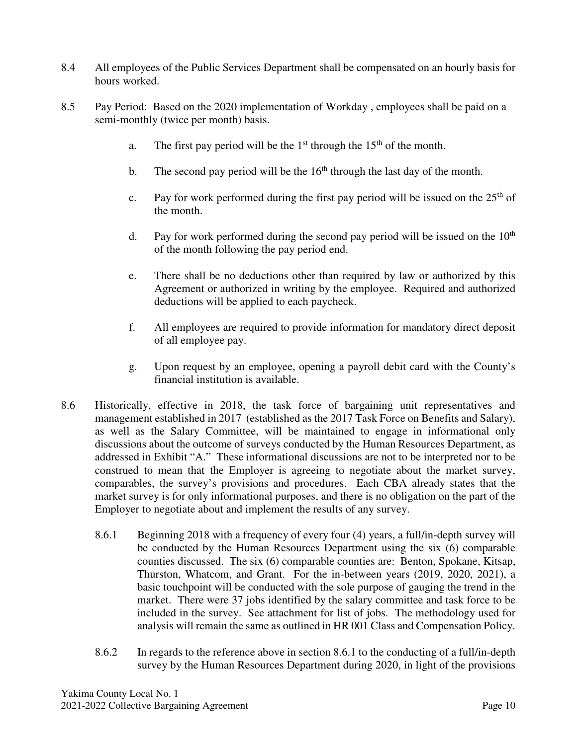- 8.4 All employees of the Public Services Department shall be compensated on an hourly basis for hours worked.
- 8.5 Pay Period: Based on the 2020 implementation of Workday , employees shall be paid on a semi-monthly (twice per month) basis.
	- a. The first pay period will be the  $1<sup>st</sup>$  through the  $15<sup>th</sup>$  of the month.
	- b. The second pay period will be the  $16<sup>th</sup>$  through the last day of the month.
	- c. Pay for work performed during the first pay period will be issued on the  $25<sup>th</sup>$  of the month.
	- d. Pay for work performed during the second pay period will be issued on the  $10<sup>th</sup>$ of the month following the pay period end.
	- e. There shall be no deductions other than required by law or authorized by this Agreement or authorized in writing by the employee. Required and authorized deductions will be applied to each paycheck.
	- f. All employees are required to provide information for mandatory direct deposit of all employee pay.
	- g. Upon request by an employee, opening a payroll debit card with the County's financial institution is available.
- 8.6 Historically, effective in 2018, the task force of bargaining unit representatives and management established in 2017 (established as the 2017 Task Force on Benefits and Salary), as well as the Salary Committee, will be maintained to engage in informational only discussions about the outcome of surveys conducted by the Human Resources Department, as addressed in Exhibit "A." These informational discussions are not to be interpreted nor to be construed to mean that the Employer is agreeing to negotiate about the market survey, comparables, the survey's provisions and procedures. Each CBA already states that the market survey is for only informational purposes, and there is no obligation on the part of the Employer to negotiate about and implement the results of any survey.
	- 8.6.1 Beginning 2018 with a frequency of every four (4) years, a full/in-depth survey will be conducted by the Human Resources Department using the six (6) comparable counties discussed. The six (6) comparable counties are: Benton, Spokane, Kitsap, Thurston, Whatcom, and Grant. For the in-between years (2019, 2020, 2021), a basic touchpoint will be conducted with the sole purpose of gauging the trend in the market. There were 37 jobs identified by the salary committee and task force to be included in the survey. See attachment for list of jobs. The methodology used for analysis will remain the same as outlined in HR 001 Class and Compensation Policy.
	- 8.6.2 In regards to the reference above in section 8.6.1 to the conducting of a full/in-depth survey by the Human Resources Department during 2020, in light of the provisions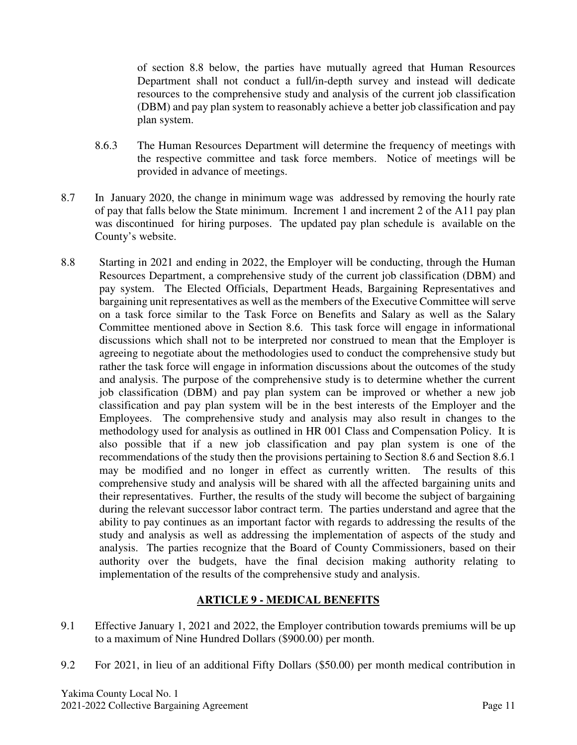of section 8.8 below, the parties have mutually agreed that Human Resources Department shall not conduct a full/in-depth survey and instead will dedicate resources to the comprehensive study and analysis of the current job classification (DBM) and pay plan system to reasonably achieve a better job classification and pay plan system.

- 8.6.3 The Human Resources Department will determine the frequency of meetings with the respective committee and task force members. Notice of meetings will be provided in advance of meetings.
- 8.7 In January 2020, the change in minimum wage was addressed by removing the hourly rate of pay that falls below the State minimum. Increment 1 and increment 2 of the A11 pay plan was discontinued for hiring purposes. The updated pay plan schedule is available on the County's website.
- 8.8 Starting in 2021 and ending in 2022, the Employer will be conducting, through the Human Resources Department, a comprehensive study of the current job classification (DBM) and pay system. The Elected Officials, Department Heads, Bargaining Representatives and bargaining unit representatives as well as the members of the Executive Committee will serve on a task force similar to the Task Force on Benefits and Salary as well as the Salary Committee mentioned above in Section 8.6. This task force will engage in informational discussions which shall not to be interpreted nor construed to mean that the Employer is agreeing to negotiate about the methodologies used to conduct the comprehensive study but rather the task force will engage in information discussions about the outcomes of the study and analysis. The purpose of the comprehensive study is to determine whether the current job classification (DBM) and pay plan system can be improved or whether a new job classification and pay plan system will be in the best interests of the Employer and the Employees. The comprehensive study and analysis may also result in changes to the methodology used for analysis as outlined in HR 001 Class and Compensation Policy. It is also possible that if a new job classification and pay plan system is one of the recommendations of the study then the provisions pertaining to Section 8.6 and Section 8.6.1 may be modified and no longer in effect as currently written. The results of this comprehensive study and analysis will be shared with all the affected bargaining units and their representatives. Further, the results of the study will become the subject of bargaining during the relevant successor labor contract term. The parties understand and agree that the ability to pay continues as an important factor with regards to addressing the results of the study and analysis as well as addressing the implementation of aspects of the study and analysis. The parties recognize that the Board of County Commissioners, based on their authority over the budgets, have the final decision making authority relating to implementation of the results of the comprehensive study and analysis.

## **ARTICLE 9 - MEDICAL BENEFITS**

- 9.1 Effective January 1, 2021 and 2022, the Employer contribution towards premiums will be up to a maximum of Nine Hundred Dollars (\$900.00) per month.
- 9.2 For 2021, in lieu of an additional Fifty Dollars (\$50.00) per month medical contribution in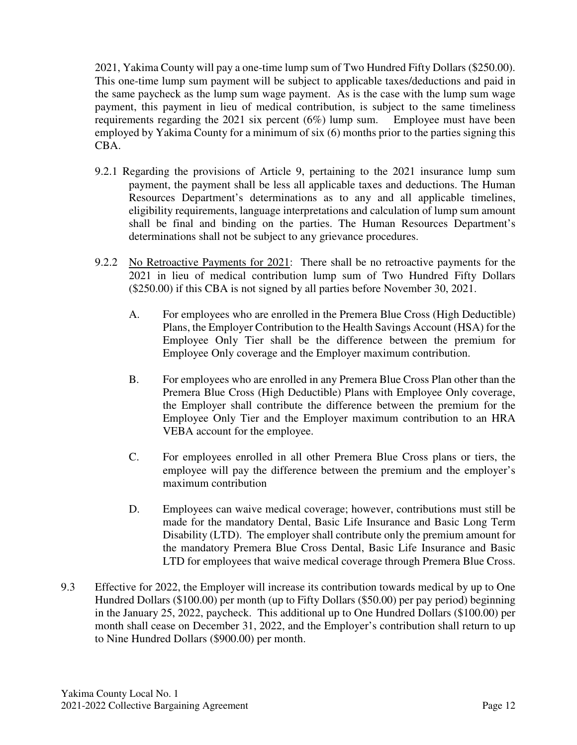2021, Yakima County will pay a one-time lump sum of Two Hundred Fifty Dollars (\$250.00). This one-time lump sum payment will be subject to applicable taxes/deductions and paid in the same paycheck as the lump sum wage payment. As is the case with the lump sum wage payment, this payment in lieu of medical contribution, is subject to the same timeliness requirements regarding the 2021 six percent (6%) lump sum. Employee must have been employed by Yakima County for a minimum of six (6) months prior to the parties signing this CBA.

- 9.2.1 Regarding the provisions of Article 9, pertaining to the 2021 insurance lump sum payment, the payment shall be less all applicable taxes and deductions. The Human Resources Department's determinations as to any and all applicable timelines, eligibility requirements, language interpretations and calculation of lump sum amount shall be final and binding on the parties. The Human Resources Department's determinations shall not be subject to any grievance procedures.
- 9.2.2 No Retroactive Payments for 2021: There shall be no retroactive payments for the 2021 in lieu of medical contribution lump sum of Two Hundred Fifty Dollars (\$250.00) if this CBA is not signed by all parties before November 30, 2021.
	- A. For employees who are enrolled in the Premera Blue Cross (High Deductible) Plans, the Employer Contribution to the Health Savings Account (HSA) for the Employee Only Tier shall be the difference between the premium for Employee Only coverage and the Employer maximum contribution.
	- B. For employees who are enrolled in any Premera Blue Cross Plan other than the Premera Blue Cross (High Deductible) Plans with Employee Only coverage, the Employer shall contribute the difference between the premium for the Employee Only Tier and the Employer maximum contribution to an HRA VEBA account for the employee.
	- C. For employees enrolled in all other Premera Blue Cross plans or tiers, the employee will pay the difference between the premium and the employer's maximum contribution
	- D. Employees can waive medical coverage; however, contributions must still be made for the mandatory Dental, Basic Life Insurance and Basic Long Term Disability (LTD). The employer shall contribute only the premium amount for the mandatory Premera Blue Cross Dental, Basic Life Insurance and Basic LTD for employees that waive medical coverage through Premera Blue Cross.
- 9.3 Effective for 2022, the Employer will increase its contribution towards medical by up to One Hundred Dollars (\$100.00) per month (up to Fifty Dollars (\$50.00) per pay period) beginning in the January 25, 2022, paycheck. This additional up to One Hundred Dollars (\$100.00) per month shall cease on December 31, 2022, and the Employer's contribution shall return to up to Nine Hundred Dollars (\$900.00) per month.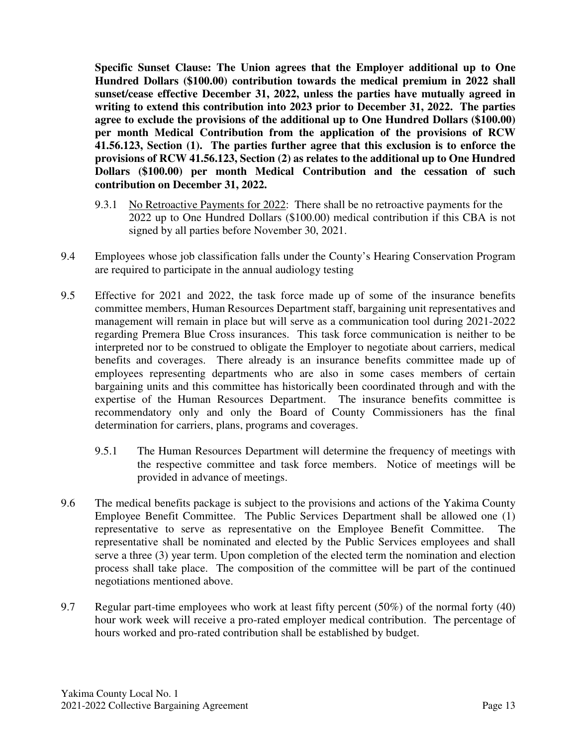**Specific Sunset Clause: The Union agrees that the Employer additional up to One Hundred Dollars (\$100.00) contribution towards the medical premium in 2022 shall sunset/cease effective December 31, 2022, unless the parties have mutually agreed in writing to extend this contribution into 2023 prior to December 31, 2022. The parties agree to exclude the provisions of the additional up to One Hundred Dollars (\$100.00) per month Medical Contribution from the application of the provisions of RCW 41.56.123, Section (1). The parties further agree that this exclusion is to enforce the provisions of RCW 41.56.123, Section (2) as relates to the additional up to One Hundred Dollars (\$100.00) per month Medical Contribution and the cessation of such contribution on December 31, 2022.** 

- 9.3.1 No Retroactive Payments for 2022: There shall be no retroactive payments for the 2022 up to One Hundred Dollars (\$100.00) medical contribution if this CBA is not signed by all parties before November 30, 2021.
- 9.4 Employees whose job classification falls under the County's Hearing Conservation Program are required to participate in the annual audiology testing
- 9.5 Effective for 2021 and 2022, the task force made up of some of the insurance benefits committee members, Human Resources Department staff, bargaining unit representatives and management will remain in place but will serve as a communication tool during 2021-2022 regarding Premera Blue Cross insurances. This task force communication is neither to be interpreted nor to be construed to obligate the Employer to negotiate about carriers, medical benefits and coverages. There already is an insurance benefits committee made up of employees representing departments who are also in some cases members of certain bargaining units and this committee has historically been coordinated through and with the expertise of the Human Resources Department. The insurance benefits committee is recommendatory only and only the Board of County Commissioners has the final determination for carriers, plans, programs and coverages.
	- 9.5.1 The Human Resources Department will determine the frequency of meetings with the respective committee and task force members. Notice of meetings will be provided in advance of meetings.
- 9.6 The medical benefits package is subject to the provisions and actions of the Yakima County Employee Benefit Committee. The Public Services Department shall be allowed one (1) representative to serve as representative on the Employee Benefit Committee. The representative shall be nominated and elected by the Public Services employees and shall serve a three (3) year term. Upon completion of the elected term the nomination and election process shall take place. The composition of the committee will be part of the continued negotiations mentioned above.
- 9.7 Regular part-time employees who work at least fifty percent (50%) of the normal forty (40) hour work week will receive a pro-rated employer medical contribution. The percentage of hours worked and pro-rated contribution shall be established by budget.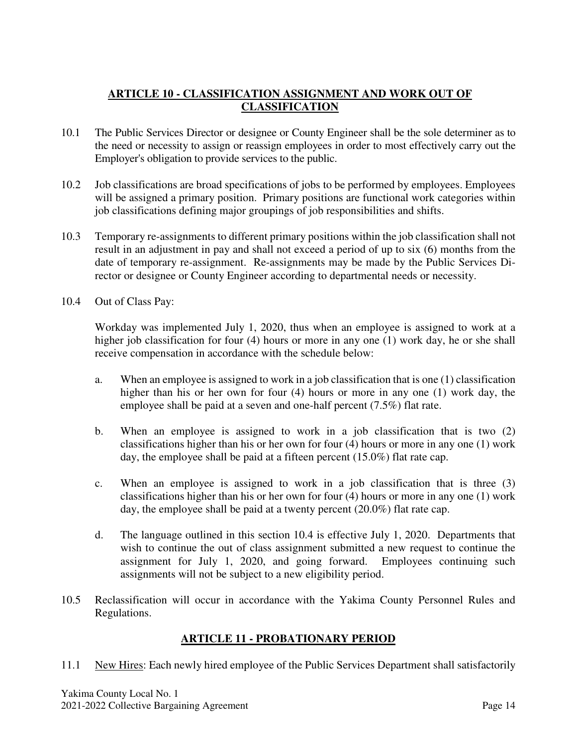## **ARTICLE 10 - CLASSIFICATION ASSIGNMENT AND WORK OUT OF CLASSIFICATION**

- 10.1 The Public Services Director or designee or County Engineer shall be the sole determiner as to the need or necessity to assign or reassign employees in order to most effectively carry out the Employer's obligation to provide services to the public.
- 10.2 Job classifications are broad specifications of jobs to be performed by employees. Employees will be assigned a primary position. Primary positions are functional work categories within job classifications defining major groupings of job responsibilities and shifts.
- 10.3 Temporary re-assignments to different primary positions within the job classification shall not result in an adjustment in pay and shall not exceed a period of up to six (6) months from the date of temporary re-assignment. Re-assignments may be made by the Public Services Director or designee or County Engineer according to departmental needs or necessity.
- 10.4 Out of Class Pay:

Workday was implemented July 1, 2020, thus when an employee is assigned to work at a higher job classification for four (4) hours or more in any one (1) work day, he or she shall receive compensation in accordance with the schedule below:

- a. When an employee is assigned to work in a job classification that is one (1) classification higher than his or her own for four (4) hours or more in any one (1) work day, the employee shall be paid at a seven and one-half percent (7.5%) flat rate.
- b. When an employee is assigned to work in a job classification that is two (2) classifications higher than his or her own for four (4) hours or more in any one (1) work day, the employee shall be paid at a fifteen percent (15.0%) flat rate cap.
- c. When an employee is assigned to work in a job classification that is three (3) classifications higher than his or her own for four (4) hours or more in any one (1) work day, the employee shall be paid at a twenty percent (20.0%) flat rate cap.
- d. The language outlined in this section 10.4 is effective July 1, 2020. Departments that wish to continue the out of class assignment submitted a new request to continue the assignment for July 1, 2020, and going forward. Employees continuing such assignments will not be subject to a new eligibility period.
- 10.5 Reclassification will occur in accordance with the Yakima County Personnel Rules and Regulations.

## **ARTICLE 11 - PROBATIONARY PERIOD**

11.1 New Hires: Each newly hired employee of the Public Services Department shall satisfactorily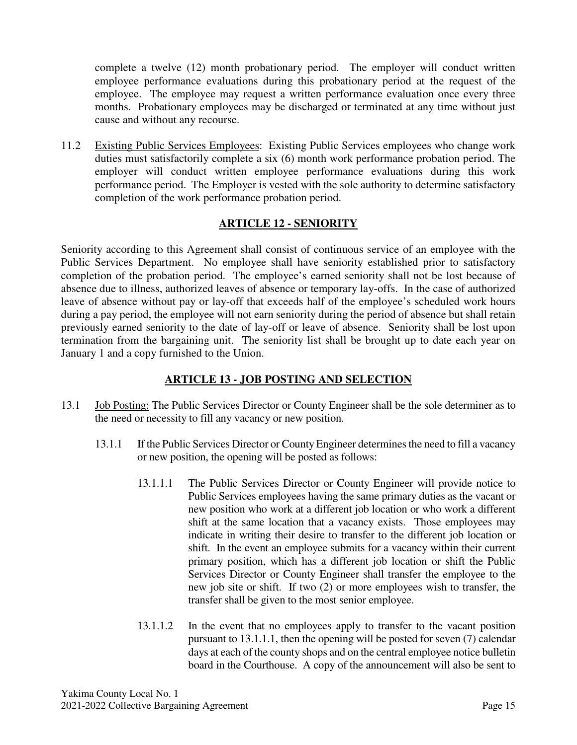complete a twelve (12) month probationary period. The employer will conduct written employee performance evaluations during this probationary period at the request of the employee. The employee may request a written performance evaluation once every three months. Probationary employees may be discharged or terminated at any time without just cause and without any recourse.

11.2 Existing Public Services Employees: Existing Public Services employees who change work duties must satisfactorily complete a six (6) month work performance probation period. The employer will conduct written employee performance evaluations during this work performance period. The Employer is vested with the sole authority to determine satisfactory completion of the work performance probation period.

## **ARTICLE 12 - SENIORITY**

Seniority according to this Agreement shall consist of continuous service of an employee with the Public Services Department. No employee shall have seniority established prior to satisfactory completion of the probation period. The employee's earned seniority shall not be lost because of absence due to illness, authorized leaves of absence or temporary lay-offs. In the case of authorized leave of absence without pay or lay-off that exceeds half of the employee's scheduled work hours during a pay period, the employee will not earn seniority during the period of absence but shall retain previously earned seniority to the date of lay-off or leave of absence. Seniority shall be lost upon termination from the bargaining unit. The seniority list shall be brought up to date each year on January 1 and a copy furnished to the Union.

## **ARTICLE 13 - JOB POSTING AND SELECTION**

- 13.1 Job Posting: The Public Services Director or County Engineer shall be the sole determiner as to the need or necessity to fill any vacancy or new position.
	- 13.1.1 If the Public Services Director or County Engineer determines the need to fill a vacancy or new position, the opening will be posted as follows:
		- 13.1.1.1 The Public Services Director or County Engineer will provide notice to Public Services employees having the same primary duties as the vacant or new position who work at a different job location or who work a different shift at the same location that a vacancy exists. Those employees may indicate in writing their desire to transfer to the different job location or shift. In the event an employee submits for a vacancy within their current primary position, which has a different job location or shift the Public Services Director or County Engineer shall transfer the employee to the new job site or shift. If two (2) or more employees wish to transfer, the transfer shall be given to the most senior employee.
		- 13.1.1.2 In the event that no employees apply to transfer to the vacant position pursuant to 13.1.1.1, then the opening will be posted for seven (7) calendar days at each of the county shops and on the central employee notice bulletin board in the Courthouse. A copy of the announcement will also be sent to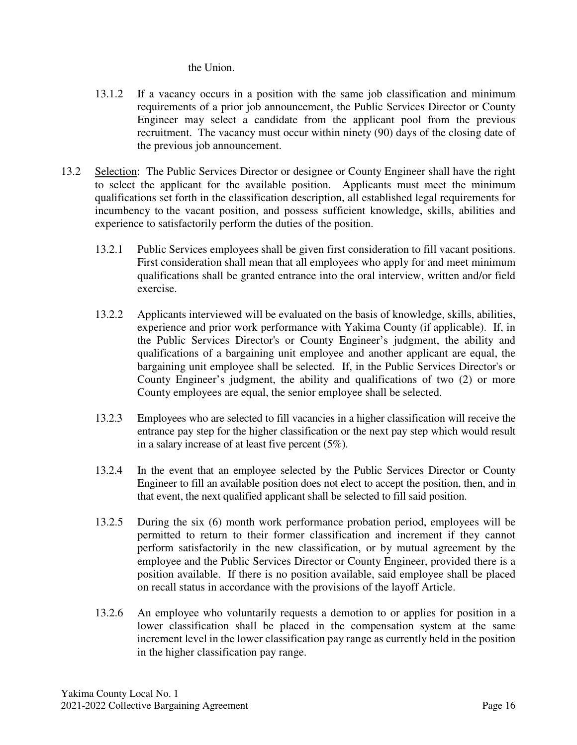the Union.

- 13.1.2 If a vacancy occurs in a position with the same job classification and minimum requirements of a prior job announcement, the Public Services Director or County Engineer may select a candidate from the applicant pool from the previous recruitment. The vacancy must occur within ninety (90) days of the closing date of the previous job announcement.
- 13.2 Selection: The Public Services Director or designee or County Engineer shall have the right to select the applicant for the available position. Applicants must meet the minimum qualifications set forth in the classification description, all established legal requirements for incumbency to the vacant position, and possess sufficient knowledge, skills, abilities and experience to satisfactorily perform the duties of the position.
	- 13.2.1 Public Services employees shall be given first consideration to fill vacant positions. First consideration shall mean that all employees who apply for and meet minimum qualifications shall be granted entrance into the oral interview, written and/or field exercise.
	- 13.2.2 Applicants interviewed will be evaluated on the basis of knowledge, skills, abilities, experience and prior work performance with Yakima County (if applicable). If, in the Public Services Director's or County Engineer's judgment, the ability and qualifications of a bargaining unit employee and another applicant are equal, the bargaining unit employee shall be selected. If, in the Public Services Director's or County Engineer's judgment, the ability and qualifications of two (2) or more County employees are equal, the senior employee shall be selected.
	- 13.2.3 Employees who are selected to fill vacancies in a higher classification will receive the entrance pay step for the higher classification or the next pay step which would result in a salary increase of at least five percent (5%).
	- 13.2.4 In the event that an employee selected by the Public Services Director or County Engineer to fill an available position does not elect to accept the position, then, and in that event, the next qualified applicant shall be selected to fill said position.
	- 13.2.5 During the six (6) month work performance probation period, employees will be permitted to return to their former classification and increment if they cannot perform satisfactorily in the new classification, or by mutual agreement by the employee and the Public Services Director or County Engineer, provided there is a position available. If there is no position available, said employee shall be placed on recall status in accordance with the provisions of the layoff Article.
	- 13.2.6 An employee who voluntarily requests a demotion to or applies for position in a lower classification shall be placed in the compensation system at the same increment level in the lower classification pay range as currently held in the position in the higher classification pay range.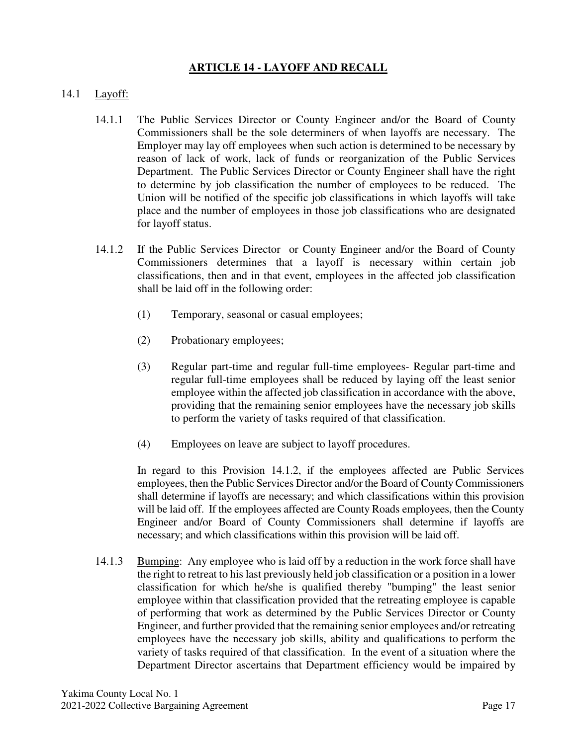## **ARTICLE 14 - LAYOFF AND RECALL**

#### 14.1 Layoff:

- 14.1.1 The Public Services Director or County Engineer and/or the Board of County Commissioners shall be the sole determiners of when layoffs are necessary. The Employer may lay off employees when such action is determined to be necessary by reason of lack of work, lack of funds or reorganization of the Public Services Department. The Public Services Director or County Engineer shall have the right to determine by job classification the number of employees to be reduced. The Union will be notified of the specific job classifications in which layoffs will take place and the number of employees in those job classifications who are designated for layoff status.
- 14.1.2 If the Public Services Director or County Engineer and/or the Board of County Commissioners determines that a layoff is necessary within certain job classifications, then and in that event, employees in the affected job classification shall be laid off in the following order:
	- (1) Temporary, seasonal or casual employees;
	- (2) Probationary employees;
	- (3) Regular part-time and regular full-time employees- Regular part-time and regular full-time employees shall be reduced by laying off the least senior employee within the affected job classification in accordance with the above, providing that the remaining senior employees have the necessary job skills to perform the variety of tasks required of that classification.
	- (4) Employees on leave are subject to layoff procedures.

In regard to this Provision 14.1.2, if the employees affected are Public Services employees, then the Public Services Director and/or the Board of County Commissioners shall determine if layoffs are necessary; and which classifications within this provision will be laid off. If the employees affected are County Roads employees, then the County Engineer and/or Board of County Commissioners shall determine if layoffs are necessary; and which classifications within this provision will be laid off.

14.1.3 Bumping: Any employee who is laid off by a reduction in the work force shall have the right to retreat to his last previously held job classification or a position in a lower classification for which he/she is qualified thereby "bumping" the least senior employee within that classification provided that the retreating employee is capable of performing that work as determined by the Public Services Director or County Engineer, and further provided that the remaining senior employees and/or retreating employees have the necessary job skills, ability and qualifications to perform the variety of tasks required of that classification. In the event of a situation where the Department Director ascertains that Department efficiency would be impaired by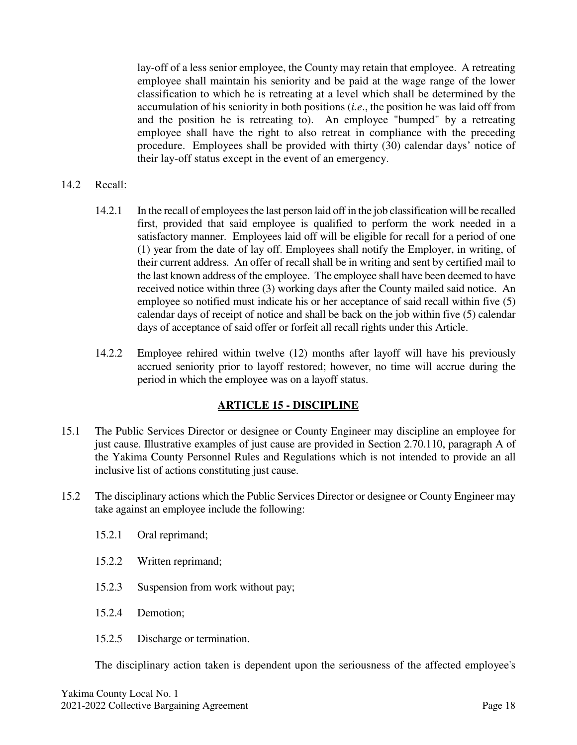lay-off of a less senior employee, the County may retain that employee. A retreating employee shall maintain his seniority and be paid at the wage range of the lower classification to which he is retreating at a level which shall be determined by the accumulation of his seniority in both positions (*i.e*., the position he was laid off from and the position he is retreating to). An employee "bumped" by a retreating employee shall have the right to also retreat in compliance with the preceding procedure. Employees shall be provided with thirty (30) calendar days' notice of their lay-off status except in the event of an emergency.

- 14.2 Recall:
	- 14.2.1 In the recall of employees the last person laid off in the job classification will be recalled first, provided that said employee is qualified to perform the work needed in a satisfactory manner. Employees laid off will be eligible for recall for a period of one (1) year from the date of lay off. Employees shall notify the Employer, in writing, of their current address. An offer of recall shall be in writing and sent by certified mail to the last known address of the employee. The employee shall have been deemed to have received notice within three (3) working days after the County mailed said notice. An employee so notified must indicate his or her acceptance of said recall within five (5) calendar days of receipt of notice and shall be back on the job within five (5) calendar days of acceptance of said offer or forfeit all recall rights under this Article.
	- 14.2.2 Employee rehired within twelve (12) months after layoff will have his previously accrued seniority prior to layoff restored; however, no time will accrue during the period in which the employee was on a layoff status.

#### **ARTICLE 15 - DISCIPLINE**

- 15.1 The Public Services Director or designee or County Engineer may discipline an employee for just cause. Illustrative examples of just cause are provided in Section 2.70.110, paragraph A of the Yakima County Personnel Rules and Regulations which is not intended to provide an all inclusive list of actions constituting just cause.
- 15.2 The disciplinary actions which the Public Services Director or designee or County Engineer may take against an employee include the following:
	- 15.2.1 Oral reprimand;
	- 15.2.2 Written reprimand;
	- 15.2.3 Suspension from work without pay;
	- 15.2.4 Demotion;
	- 15.2.5 Discharge or termination.

The disciplinary action taken is dependent upon the seriousness of the affected employee's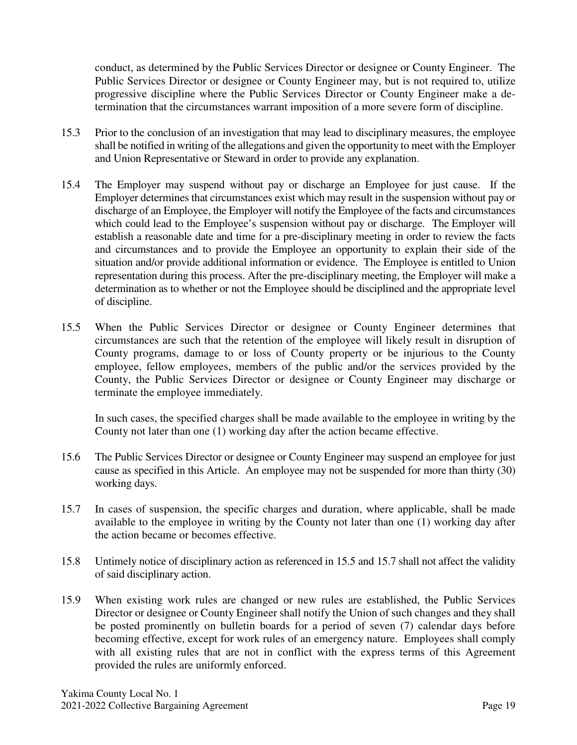conduct, as determined by the Public Services Director or designee or County Engineer. The Public Services Director or designee or County Engineer may, but is not required to, utilize progressive discipline where the Public Services Director or County Engineer make a determination that the circumstances warrant imposition of a more severe form of discipline.

- 15.3 Prior to the conclusion of an investigation that may lead to disciplinary measures, the employee shall be notified in writing of the allegations and given the opportunity to meet with the Employer and Union Representative or Steward in order to provide any explanation.
- 15.4 The Employer may suspend without pay or discharge an Employee for just cause. If the Employer determines that circumstances exist which may result in the suspension without pay or discharge of an Employee, the Employer will notify the Employee of the facts and circumstances which could lead to the Employee's suspension without pay or discharge. The Employer will establish a reasonable date and time for a pre-disciplinary meeting in order to review the facts and circumstances and to provide the Employee an opportunity to explain their side of the situation and/or provide additional information or evidence. The Employee is entitled to Union representation during this process. After the pre-disciplinary meeting, the Employer will make a determination as to whether or not the Employee should be disciplined and the appropriate level of discipline.
- 15.5 When the Public Services Director or designee or County Engineer determines that circumstances are such that the retention of the employee will likely result in disruption of County programs, damage to or loss of County property or be injurious to the County employee, fellow employees, members of the public and/or the services provided by the County, the Public Services Director or designee or County Engineer may discharge or terminate the employee immediately.

In such cases, the specified charges shall be made available to the employee in writing by the County not later than one (1) working day after the action became effective.

- 15.6 The Public Services Director or designee or County Engineer may suspend an employee for just cause as specified in this Article. An employee may not be suspended for more than thirty (30) working days.
- 15.7 In cases of suspension, the specific charges and duration, where applicable, shall be made available to the employee in writing by the County not later than one (1) working day after the action became or becomes effective.
- 15.8 Untimely notice of disciplinary action as referenced in 15.5 and 15.7 shall not affect the validity of said disciplinary action.
- 15.9 When existing work rules are changed or new rules are established, the Public Services Director or designee or County Engineer shall notify the Union of such changes and they shall be posted prominently on bulletin boards for a period of seven (7) calendar days before becoming effective, except for work rules of an emergency nature. Employees shall comply with all existing rules that are not in conflict with the express terms of this Agreement provided the rules are uniformly enforced.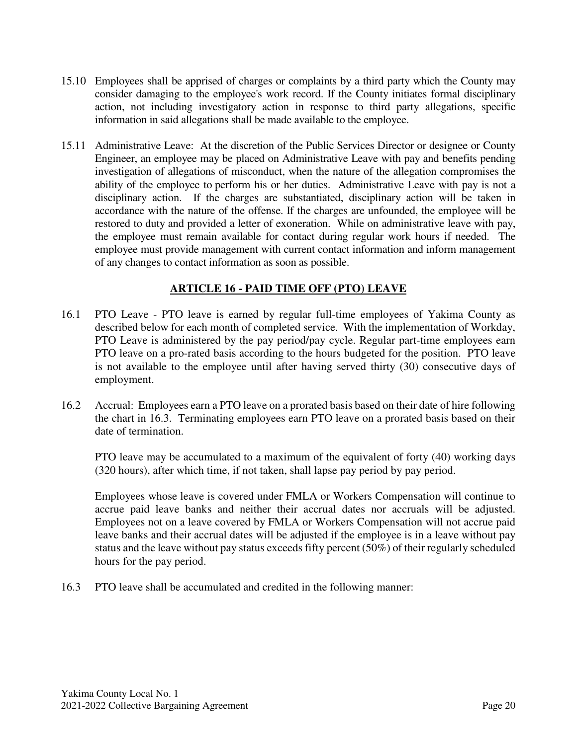- 15.10 Employees shall be apprised of charges or complaints by a third party which the County may consider damaging to the employee's work record. If the County initiates formal disciplinary action, not including investigatory action in response to third party allegations, specific information in said allegations shall be made available to the employee.
- 15.11 Administrative Leave: At the discretion of the Public Services Director or designee or County Engineer, an employee may be placed on Administrative Leave with pay and benefits pending investigation of allegations of misconduct, when the nature of the allegation compromises the ability of the employee to perform his or her duties. Administrative Leave with pay is not a disciplinary action. If the charges are substantiated, disciplinary action will be taken in accordance with the nature of the offense. If the charges are unfounded, the employee will be restored to duty and provided a letter of exoneration. While on administrative leave with pay, the employee must remain available for contact during regular work hours if needed. The employee must provide management with current contact information and inform management of any changes to contact information as soon as possible.

## **ARTICLE 16 - PAID TIME OFF (PTO) LEAVE**

- 16.1 PTO Leave PTO leave is earned by regular full-time employees of Yakima County as described below for each month of completed service. With the implementation of Workday, PTO Leave is administered by the pay period/pay cycle. Regular part-time employees earn PTO leave on a pro-rated basis according to the hours budgeted for the position. PTO leave is not available to the employee until after having served thirty (30) consecutive days of employment.
- 16.2 Accrual: Employees earn a PTO leave on a prorated basis based on their date of hire following the chart in 16.3. Terminating employees earn PTO leave on a prorated basis based on their date of termination.

PTO leave may be accumulated to a maximum of the equivalent of forty (40) working days (320 hours), after which time, if not taken, shall lapse pay period by pay period.

Employees whose leave is covered under FMLA or Workers Compensation will continue to accrue paid leave banks and neither their accrual dates nor accruals will be adjusted. Employees not on a leave covered by FMLA or Workers Compensation will not accrue paid leave banks and their accrual dates will be adjusted if the employee is in a leave without pay status and the leave without pay status exceeds fifty percent (50%) of their regularly scheduled hours for the pay period.

16.3 PTO leave shall be accumulated and credited in the following manner: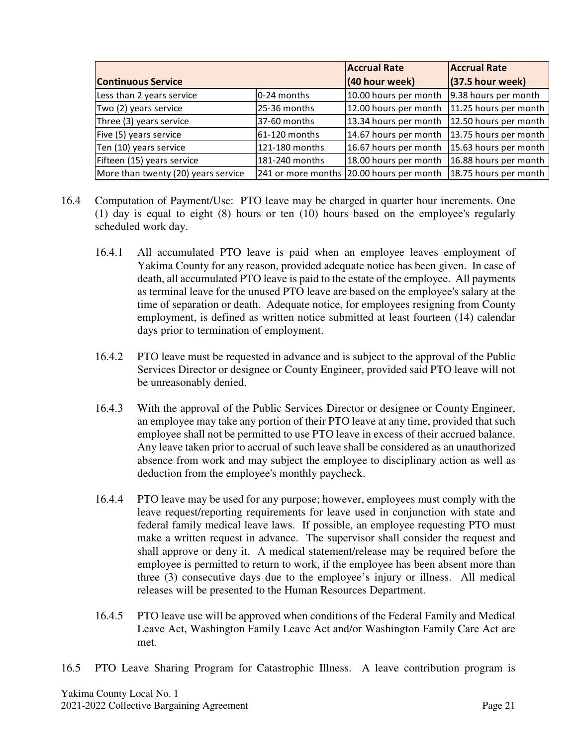|                                     | <b>Accrual Rate</b> | <b>Accrual Rate</b>                      |                       |  |
|-------------------------------------|---------------------|------------------------------------------|-----------------------|--|
| <b>Continuous Service</b>           | (40 hour week)      | $(37.5$ hour week)                       |                       |  |
| Less than 2 years service           | 0-24 months         | 10.00 hours per month                    | 9.38 hours per month  |  |
| Two (2) years service               | 25-36 months        | 12.00 hours per month                    | 11.25 hours per month |  |
| Three (3) years service             | 37-60 months        | 13.34 hours per month                    | 12.50 hours per month |  |
| Five (5) years service              | 61-120 months       | 14.67 hours per month                    | 13.75 hours per month |  |
| Ten (10) years service              | 121-180 months      | 16.67 hours per month                    | 15.63 hours per month |  |
| Fifteen (15) years service          | 181-240 months      | 18.00 hours per month                    | 16.88 hours per month |  |
| More than twenty (20) years service |                     | 241 or more months 20.00 hours per month | 18.75 hours per month |  |

- 16.4 Computation of Payment/Use: PTO leave may be charged in quarter hour increments. One (1) day is equal to eight (8) hours or ten (10) hours based on the employee's regularly scheduled work day.
	- 16.4.1 All accumulated PTO leave is paid when an employee leaves employment of Yakima County for any reason, provided adequate notice has been given. In case of death, all accumulated PTO leave is paid to the estate of the employee. All payments as terminal leave for the unused PTO leave are based on the employee's salary at the time of separation or death. Adequate notice, for employees resigning from County employment, is defined as written notice submitted at least fourteen (14) calendar days prior to termination of employment.
	- 16.4.2 PTO leave must be requested in advance and is subject to the approval of the Public Services Director or designee or County Engineer, provided said PTO leave will not be unreasonably denied.
	- 16.4.3 With the approval of the Public Services Director or designee or County Engineer, an employee may take any portion of their PTO leave at any time, provided that such employee shall not be permitted to use PTO leave in excess of their accrued balance. Any leave taken prior to accrual of such leave shall be considered as an unauthorized absence from work and may subject the employee to disciplinary action as well as deduction from the employee's monthly paycheck.
	- 16.4.4 PTO leave may be used for any purpose; however, employees must comply with the leave request/reporting requirements for leave used in conjunction with state and federal family medical leave laws. If possible, an employee requesting PTO must make a written request in advance. The supervisor shall consider the request and shall approve or deny it. A medical statement/release may be required before the employee is permitted to return to work, if the employee has been absent more than three (3) consecutive days due to the employee's injury or illness. All medical releases will be presented to the Human Resources Department.
	- 16.4.5 PTO leave use will be approved when conditions of the Federal Family and Medical Leave Act, Washington Family Leave Act and/or Washington Family Care Act are met.
- 16.5 PTO Leave Sharing Program for Catastrophic Illness. A leave contribution program is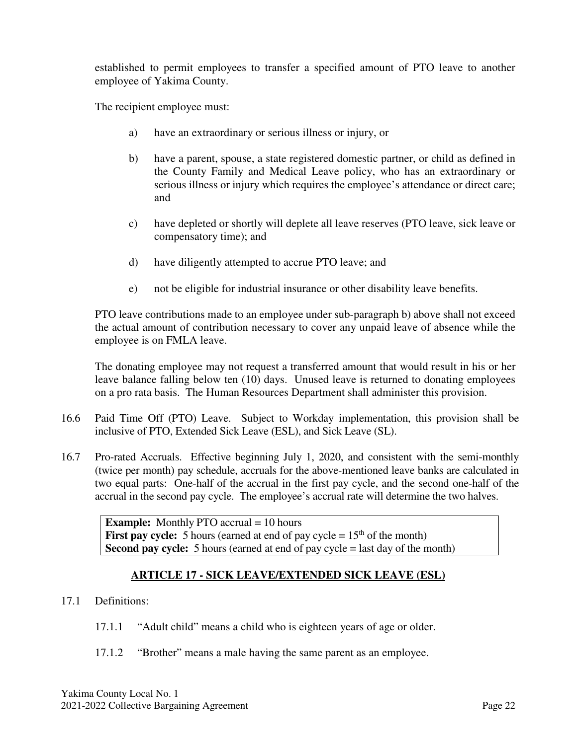established to permit employees to transfer a specified amount of PTO leave to another employee of Yakima County.

The recipient employee must:

- a) have an extraordinary or serious illness or injury, or
- b) have a parent, spouse, a state registered domestic partner, or child as defined in the County Family and Medical Leave policy, who has an extraordinary or serious illness or injury which requires the employee's attendance or direct care; and
- c) have depleted or shortly will deplete all leave reserves (PTO leave, sick leave or compensatory time); and
- d) have diligently attempted to accrue PTO leave; and
- e) not be eligible for industrial insurance or other disability leave benefits.

PTO leave contributions made to an employee under sub-paragraph b) above shall not exceed the actual amount of contribution necessary to cover any unpaid leave of absence while the employee is on FMLA leave.

The donating employee may not request a transferred amount that would result in his or her leave balance falling below ten (10) days. Unused leave is returned to donating employees on a pro rata basis. The Human Resources Department shall administer this provision.

- 16.6 Paid Time Off (PTO) Leave. Subject to Workday implementation, this provision shall be inclusive of PTO, Extended Sick Leave (ESL), and Sick Leave (SL).
- 16.7 Pro-rated Accruals. Effective beginning July 1, 2020, and consistent with the semi-monthly (twice per month) pay schedule, accruals for the above-mentioned leave banks are calculated in two equal parts: One-half of the accrual in the first pay cycle, and the second one-half of the accrual in the second pay cycle. The employee's accrual rate will determine the two halves.

**Example:** Monthly PTO accrual = 10 hours **First pay cycle:** 5 hours (earned at end of pay cycle  $= 15<sup>th</sup>$  of the month) **Second pay cycle:** 5 hours (earned at end of pay cycle = last day of the month)

#### **ARTICLE 17 - SICK LEAVE/EXTENDED SICK LEAVE (ESL)**

- 17.1 Definitions:
	- 17.1.1 "Adult child" means a child who is eighteen years of age or older.
	- 17.1.2 "Brother" means a male having the same parent as an employee.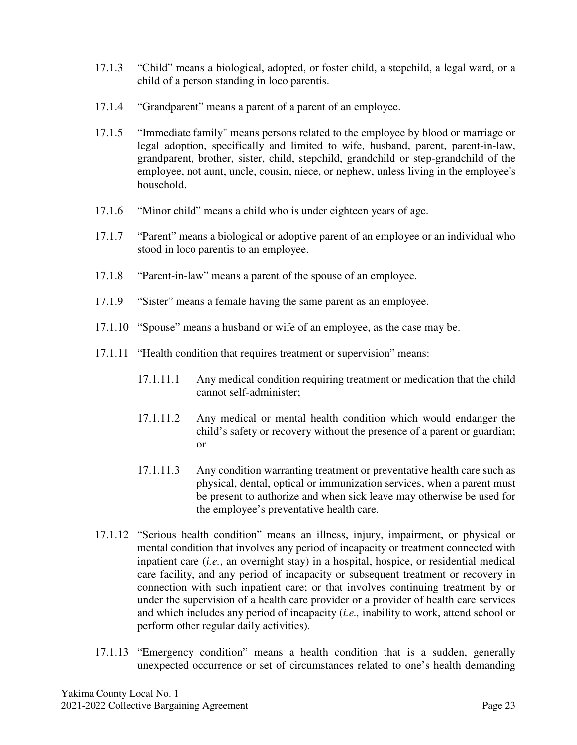- 17.1.3 "Child" means a biological, adopted, or foster child, a stepchild, a legal ward, or a child of a person standing in loco parentis.
- 17.1.4 "Grandparent" means a parent of a parent of an employee.
- 17.1.5 "Immediate family" means persons related to the employee by blood or marriage or legal adoption, specifically and limited to wife, husband, parent, parent-in-law, grandparent, brother, sister, child, stepchild, grandchild or step-grandchild of the employee, not aunt, uncle, cousin, niece, or nephew, unless living in the employee's household.
- 17.1.6 "Minor child" means a child who is under eighteen years of age.
- 17.1.7 "Parent" means a biological or adoptive parent of an employee or an individual who stood in loco parentis to an employee.
- 17.1.8 "Parent-in-law" means a parent of the spouse of an employee.
- 17.1.9 "Sister" means a female having the same parent as an employee.
- 17.1.10 "Spouse" means a husband or wife of an employee, as the case may be.
- 17.1.11 "Health condition that requires treatment or supervision" means:
	- 17.1.11.1 Any medical condition requiring treatment or medication that the child cannot self-administer;
	- 17.1.11.2 Any medical or mental health condition which would endanger the child's safety or recovery without the presence of a parent or guardian; or
	- 17.1.11.3 Any condition warranting treatment or preventative health care such as physical, dental, optical or immunization services, when a parent must be present to authorize and when sick leave may otherwise be used for the employee's preventative health care.
- 17.1.12 "Serious health condition" means an illness, injury, impairment, or physical or mental condition that involves any period of incapacity or treatment connected with inpatient care (*i.e.*, an overnight stay) in a hospital, hospice, or residential medical care facility, and any period of incapacity or subsequent treatment or recovery in connection with such inpatient care; or that involves continuing treatment by or under the supervision of a health care provider or a provider of health care services and which includes any period of incapacity (*i.e.,* inability to work, attend school or perform other regular daily activities).
- 17.1.13 "Emergency condition" means a health condition that is a sudden, generally unexpected occurrence or set of circumstances related to one's health demanding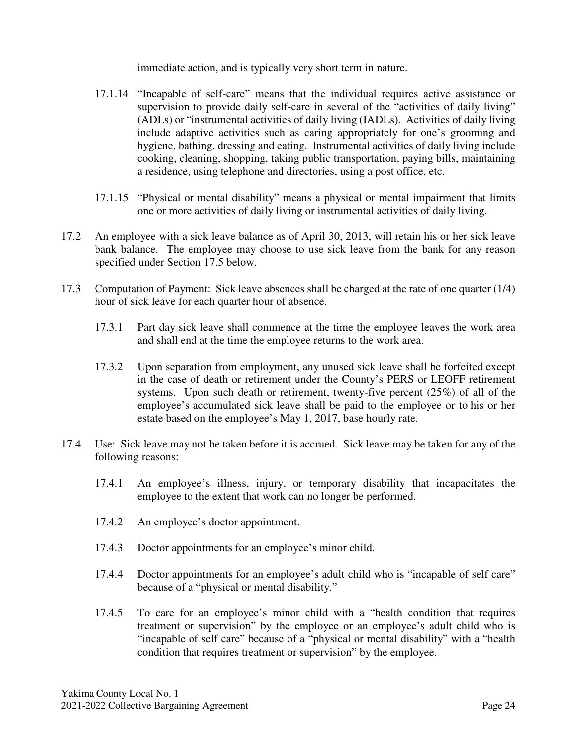immediate action, and is typically very short term in nature.

- 17.1.14 "Incapable of self-care" means that the individual requires active assistance or supervision to provide daily self-care in several of the "activities of daily living" (ADLs) or "instrumental activities of daily living (IADLs). Activities of daily living include adaptive activities such as caring appropriately for one's grooming and hygiene, bathing, dressing and eating. Instrumental activities of daily living include cooking, cleaning, shopping, taking public transportation, paying bills, maintaining a residence, using telephone and directories, using a post office, etc.
- 17.1.15 "Physical or mental disability" means a physical or mental impairment that limits one or more activities of daily living or instrumental activities of daily living.
- 17.2 An employee with a sick leave balance as of April 30, 2013, will retain his or her sick leave bank balance. The employee may choose to use sick leave from the bank for any reason specified under Section 17.5 below.
- 17.3 Computation of Payment: Sick leave absences shall be charged at the rate of one quarter (1/4) hour of sick leave for each quarter hour of absence.
	- 17.3.1 Part day sick leave shall commence at the time the employee leaves the work area and shall end at the time the employee returns to the work area.
	- 17.3.2 Upon separation from employment, any unused sick leave shall be forfeited except in the case of death or retirement under the County's PERS or LEOFF retirement systems. Upon such death or retirement, twenty-five percent (25%) of all of the employee's accumulated sick leave shall be paid to the employee or to his or her estate based on the employee's May 1, 2017, base hourly rate.
- 17.4 Use: Sick leave may not be taken before it is accrued. Sick leave may be taken for any of the following reasons:
	- 17.4.1 An employee's illness, injury, or temporary disability that incapacitates the employee to the extent that work can no longer be performed.
	- 17.4.2 An employee's doctor appointment.
	- 17.4.3 Doctor appointments for an employee's minor child.
	- 17.4.4 Doctor appointments for an employee's adult child who is "incapable of self care" because of a "physical or mental disability."
	- 17.4.5 To care for an employee's minor child with a "health condition that requires treatment or supervision" by the employee or an employee's adult child who is "incapable of self care" because of a "physical or mental disability" with a "health condition that requires treatment or supervision" by the employee.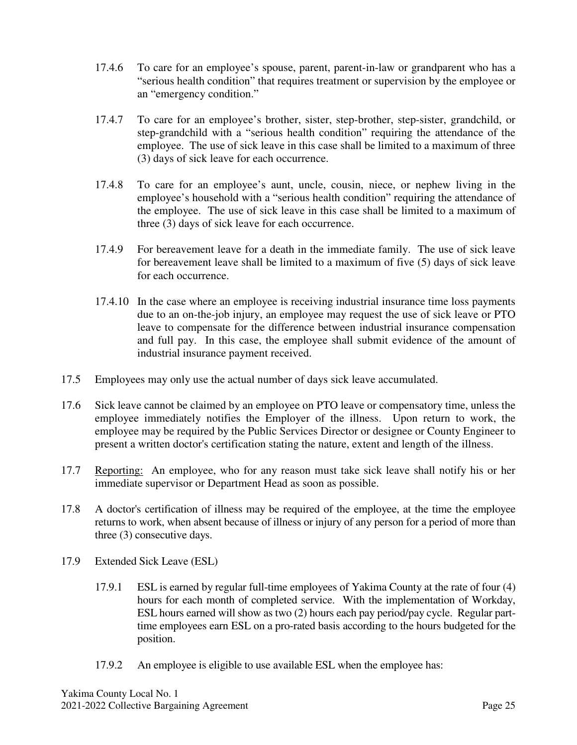- 17.4.6 To care for an employee's spouse, parent, parent-in-law or grandparent who has a "serious health condition" that requires treatment or supervision by the employee or an "emergency condition."
- 17.4.7 To care for an employee's brother, sister, step-brother, step-sister, grandchild, or step-grandchild with a "serious health condition" requiring the attendance of the employee. The use of sick leave in this case shall be limited to a maximum of three (3) days of sick leave for each occurrence.
- 17.4.8 To care for an employee's aunt, uncle, cousin, niece, or nephew living in the employee's household with a "serious health condition" requiring the attendance of the employee. The use of sick leave in this case shall be limited to a maximum of three (3) days of sick leave for each occurrence.
- 17.4.9 For bereavement leave for a death in the immediate family. The use of sick leave for bereavement leave shall be limited to a maximum of five (5) days of sick leave for each occurrence.
- 17.4.10 In the case where an employee is receiving industrial insurance time loss payments due to an on-the-job injury, an employee may request the use of sick leave or PTO leave to compensate for the difference between industrial insurance compensation and full pay. In this case, the employee shall submit evidence of the amount of industrial insurance payment received.
- 17.5 Employees may only use the actual number of days sick leave accumulated.
- 17.6 Sick leave cannot be claimed by an employee on PTO leave or compensatory time, unless the employee immediately notifies the Employer of the illness. Upon return to work, the employee may be required by the Public Services Director or designee or County Engineer to present a written doctor's certification stating the nature, extent and length of the illness.
- 17.7 Reporting: An employee, who for any reason must take sick leave shall notify his or her immediate supervisor or Department Head as soon as possible.
- 17.8 A doctor's certification of illness may be required of the employee, at the time the employee returns to work, when absent because of illness or injury of any person for a period of more than three (3) consecutive days.
- 17.9 Extended Sick Leave (ESL)
	- 17.9.1 ESL is earned by regular full-time employees of Yakima County at the rate of four (4) hours for each month of completed service. With the implementation of Workday, ESL hours earned will show as two (2) hours each pay period/pay cycle. Regular parttime employees earn ESL on a pro-rated basis according to the hours budgeted for the position.
	- 17.9.2 An employee is eligible to use available ESL when the employee has: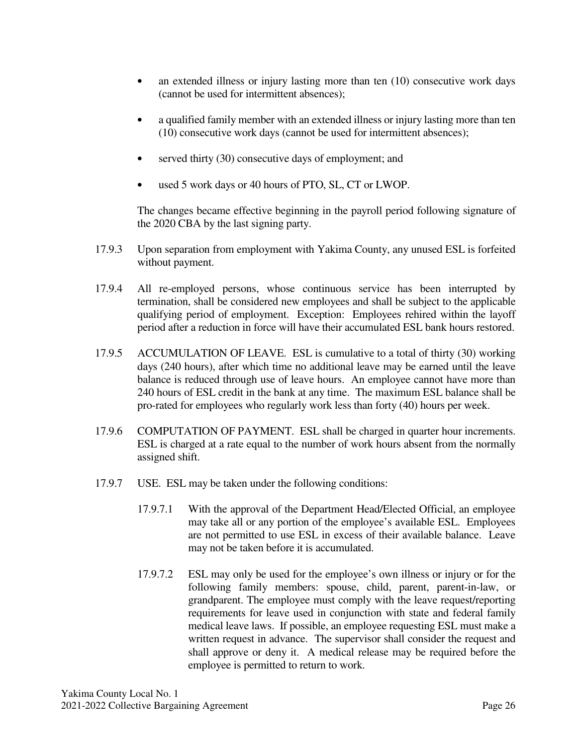- an extended illness or injury lasting more than ten (10) consecutive work days (cannot be used for intermittent absences);
- a qualified family member with an extended illness or injury lasting more than ten (10) consecutive work days (cannot be used for intermittent absences);
- served thirty (30) consecutive days of employment; and
- used 5 work days or 40 hours of PTO, SL, CT or LWOP.

The changes became effective beginning in the payroll period following signature of the 2020 CBA by the last signing party.

- 17.9.3 Upon separation from employment with Yakima County, any unused ESL is forfeited without payment.
- 17.9.4 All re-employed persons, whose continuous service has been interrupted by termination, shall be considered new employees and shall be subject to the applicable qualifying period of employment. Exception: Employees rehired within the layoff period after a reduction in force will have their accumulated ESL bank hours restored.
- 17.9.5 ACCUMULATION OF LEAVE. ESL is cumulative to a total of thirty (30) working days (240 hours), after which time no additional leave may be earned until the leave balance is reduced through use of leave hours. An employee cannot have more than 240 hours of ESL credit in the bank at any time. The maximum ESL balance shall be pro-rated for employees who regularly work less than forty (40) hours per week.
- 17.9.6 COMPUTATION OF PAYMENT. ESL shall be charged in quarter hour increments. ESL is charged at a rate equal to the number of work hours absent from the normally assigned shift.
- 17.9.7 USE. ESL may be taken under the following conditions:
	- 17.9.7.1 With the approval of the Department Head/Elected Official, an employee may take all or any portion of the employee's available ESL. Employees are not permitted to use ESL in excess of their available balance. Leave may not be taken before it is accumulated.
	- 17.9.7.2 ESL may only be used for the employee's own illness or injury or for the following family members: spouse, child, parent, parent-in-law, or grandparent. The employee must comply with the leave request/reporting requirements for leave used in conjunction with state and federal family medical leave laws. If possible, an employee requesting ESL must make a written request in advance. The supervisor shall consider the request and shall approve or deny it. A medical release may be required before the employee is permitted to return to work.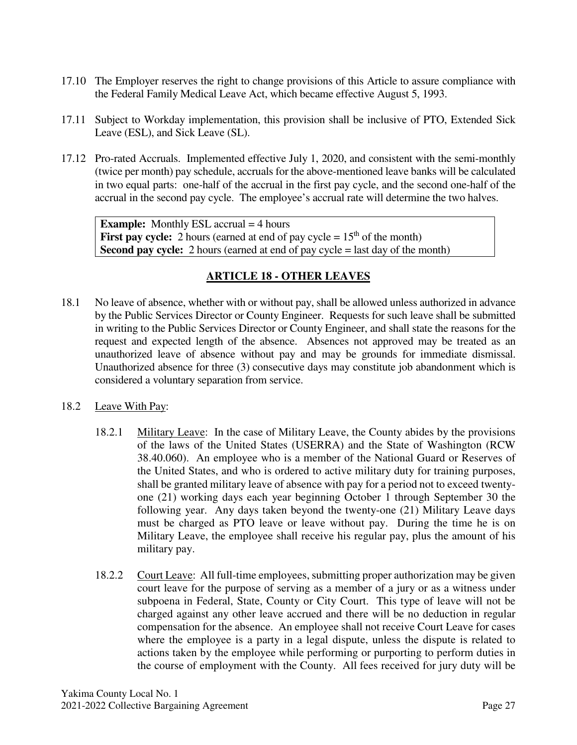- 17.10 The Employer reserves the right to change provisions of this Article to assure compliance with the Federal Family Medical Leave Act, which became effective August 5, 1993.
- 17.11 Subject to Workday implementation, this provision shall be inclusive of PTO, Extended Sick Leave (ESL), and Sick Leave (SL).
- 17.12 Pro-rated Accruals. Implemented effective July 1, 2020, and consistent with the semi-monthly (twice per month) pay schedule, accruals for the above-mentioned leave banks will be calculated in two equal parts: one-half of the accrual in the first pay cycle, and the second one-half of the accrual in the second pay cycle. The employee's accrual rate will determine the two halves.

**Example:** Monthly ESL accrual = 4 hours **First pay cycle:** 2 hours (earned at end of pay cycle  $= 15<sup>th</sup>$  of the month) **Second pay cycle:** 2 hours (earned at end of pay cycle = last day of the month)

## **ARTICLE 18 - OTHER LEAVES**

- 18.1 No leave of absence, whether with or without pay, shall be allowed unless authorized in advance by the Public Services Director or County Engineer. Requests for such leave shall be submitted in writing to the Public Services Director or County Engineer, and shall state the reasons for the request and expected length of the absence. Absences not approved may be treated as an unauthorized leave of absence without pay and may be grounds for immediate dismissal. Unauthorized absence for three (3) consecutive days may constitute job abandonment which is considered a voluntary separation from service.
- 18.2 Leave With Pay:
	- 18.2.1 Military Leave: In the case of Military Leave, the County abides by the provisions of the laws of the United States (USERRA) and the State of Washington (RCW 38.40.060). An employee who is a member of the National Guard or Reserves of the United States, and who is ordered to active military duty for training purposes, shall be granted military leave of absence with pay for a period not to exceed twentyone (21) working days each year beginning October 1 through September 30 the following year. Any days taken beyond the twenty-one (21) Military Leave days must be charged as PTO leave or leave without pay. During the time he is on Military Leave, the employee shall receive his regular pay, plus the amount of his military pay.
	- 18.2.2 Court Leave: All full-time employees, submitting proper authorization may be given court leave for the purpose of serving as a member of a jury or as a witness under subpoena in Federal, State, County or City Court. This type of leave will not be charged against any other leave accrued and there will be no deduction in regular compensation for the absence. An employee shall not receive Court Leave for cases where the employee is a party in a legal dispute, unless the dispute is related to actions taken by the employee while performing or purporting to perform duties in the course of employment with the County. All fees received for jury duty will be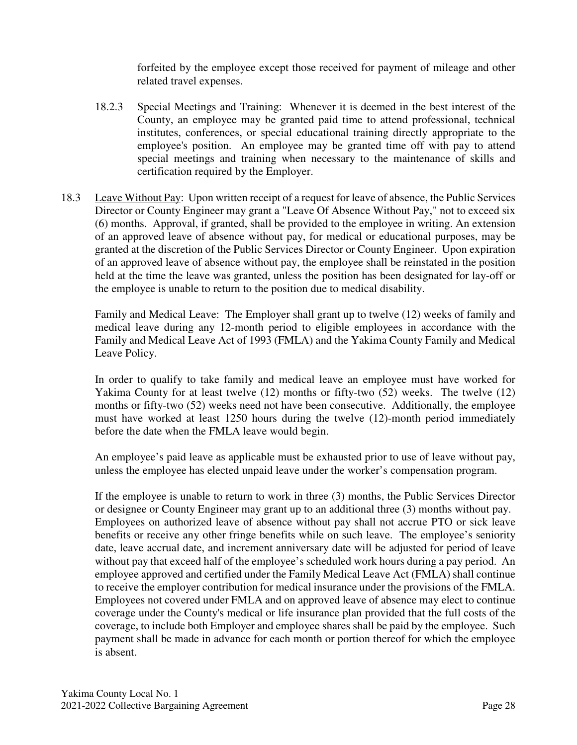forfeited by the employee except those received for payment of mileage and other related travel expenses.

- 18.2.3 Special Meetings and Training: Whenever it is deemed in the best interest of the County, an employee may be granted paid time to attend professional, technical institutes, conferences, or special educational training directly appropriate to the employee's position. An employee may be granted time off with pay to attend special meetings and training when necessary to the maintenance of skills and certification required by the Employer.
- 18.3 Leave Without Pay: Upon written receipt of a request for leave of absence, the Public Services Director or County Engineer may grant a "Leave Of Absence Without Pay," not to exceed six (6) months. Approval, if granted, shall be provided to the employee in writing. An extension of an approved leave of absence without pay, for medical or educational purposes, may be granted at the discretion of the Public Services Director or County Engineer. Upon expiration of an approved leave of absence without pay, the employee shall be reinstated in the position held at the time the leave was granted, unless the position has been designated for lay-off or the employee is unable to return to the position due to medical disability.

Family and Medical Leave: The Employer shall grant up to twelve (12) weeks of family and medical leave during any 12-month period to eligible employees in accordance with the Family and Medical Leave Act of 1993 (FMLA) and the Yakima County Family and Medical Leave Policy.

In order to qualify to take family and medical leave an employee must have worked for Yakima County for at least twelve (12) months or fifty-two (52) weeks. The twelve (12) months or fifty-two (52) weeks need not have been consecutive. Additionally, the employee must have worked at least 1250 hours during the twelve (12)-month period immediately before the date when the FMLA leave would begin.

An employee's paid leave as applicable must be exhausted prior to use of leave without pay, unless the employee has elected unpaid leave under the worker's compensation program.

If the employee is unable to return to work in three (3) months, the Public Services Director or designee or County Engineer may grant up to an additional three (3) months without pay. Employees on authorized leave of absence without pay shall not accrue PTO or sick leave benefits or receive any other fringe benefits while on such leave. The employee's seniority date, leave accrual date, and increment anniversary date will be adjusted for period of leave without pay that exceed half of the employee's scheduled work hours during a pay period. An employee approved and certified under the Family Medical Leave Act (FMLA) shall continue to receive the employer contribution for medical insurance under the provisions of the FMLA. Employees not covered under FMLA and on approved leave of absence may elect to continue coverage under the County's medical or life insurance plan provided that the full costs of the coverage, to include both Employer and employee shares shall be paid by the employee. Such payment shall be made in advance for each month or portion thereof for which the employee is absent.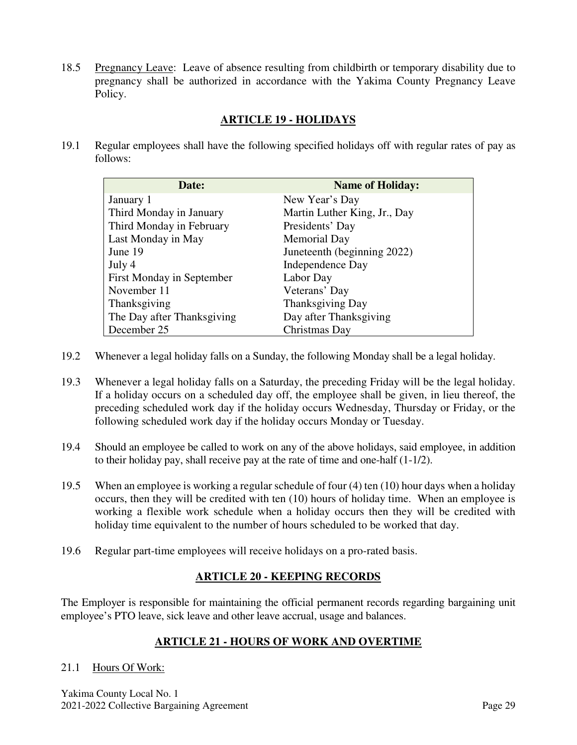18.5 Pregnancy Leave: Leave of absence resulting from childbirth or temporary disability due to pregnancy shall be authorized in accordance with the Yakima County Pregnancy Leave Policy.

## **ARTICLE 19 - HOLIDAYS**

19.1 Regular employees shall have the following specified holidays off with regular rates of pay as follows:

| Date:                      | <b>Name of Holiday:</b>      |
|----------------------------|------------------------------|
| January 1                  | New Year's Day               |
| Third Monday in January    | Martin Luther King, Jr., Day |
| Third Monday in February   | Presidents' Day              |
| Last Monday in May         | <b>Memorial Day</b>          |
| June 19                    | Juneteenth (beginning 2022)  |
| July 4                     | Independence Day             |
| First Monday in September  | Labor Day                    |
| November 11                | Veterans' Day                |
| Thanksgiving               | Thanksgiving Day             |
| The Day after Thanksgiving | Day after Thanksgiving       |
| December 25                | Christmas Day                |

- 19.2 Whenever a legal holiday falls on a Sunday, the following Monday shall be a legal holiday.
- 19.3 Whenever a legal holiday falls on a Saturday, the preceding Friday will be the legal holiday. If a holiday occurs on a scheduled day off, the employee shall be given, in lieu thereof, the preceding scheduled work day if the holiday occurs Wednesday, Thursday or Friday, or the following scheduled work day if the holiday occurs Monday or Tuesday.
- 19.4 Should an employee be called to work on any of the above holidays, said employee, in addition to their holiday pay, shall receive pay at the rate of time and one-half (1-1/2).
- 19.5 When an employee is working a regular schedule of four (4) ten (10) hour days when a holiday occurs, then they will be credited with ten (10) hours of holiday time. When an employee is working a flexible work schedule when a holiday occurs then they will be credited with holiday time equivalent to the number of hours scheduled to be worked that day.
- 19.6 Regular part-time employees will receive holidays on a pro-rated basis.

## **ARTICLE 20 - KEEPING RECORDS**

The Employer is responsible for maintaining the official permanent records regarding bargaining unit employee's PTO leave, sick leave and other leave accrual, usage and balances.

## **ARTICLE 21 - HOURS OF WORK AND OVERTIME**

#### 21.1 Hours Of Work:

Yakima County Local No. 1 2021-2022 Collective Bargaining Agreement Page 29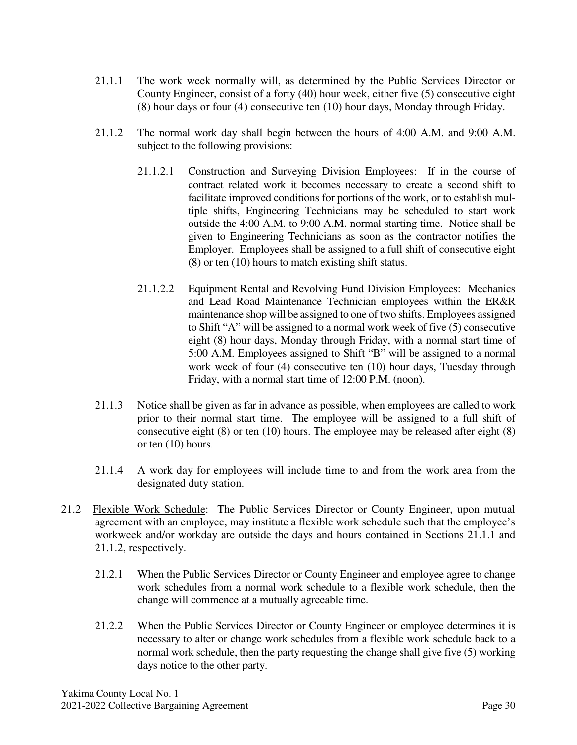- 21.1.1 The work week normally will, as determined by the Public Services Director or County Engineer, consist of a forty (40) hour week, either five (5) consecutive eight (8) hour days or four (4) consecutive ten (10) hour days, Monday through Friday.
- 21.1.2 The normal work day shall begin between the hours of 4:00 A.M. and 9:00 A.M. subject to the following provisions:
	- 21.1.2.1 Construction and Surveying Division Employees: If in the course of contract related work it becomes necessary to create a second shift to facilitate improved conditions for portions of the work, or to establish multiple shifts, Engineering Technicians may be scheduled to start work outside the 4:00 A.M. to 9:00 A.M. normal starting time. Notice shall be given to Engineering Technicians as soon as the contractor notifies the Employer. Employees shall be assigned to a full shift of consecutive eight (8) or ten (10) hours to match existing shift status.
	- 21.1.2.2 Equipment Rental and Revolving Fund Division Employees: Mechanics and Lead Road Maintenance Technician employees within the ER&R maintenance shop will be assigned to one of two shifts. Employees assigned to Shift "A" will be assigned to a normal work week of five (5) consecutive eight (8) hour days, Monday through Friday, with a normal start time of 5:00 A.M. Employees assigned to Shift "B" will be assigned to a normal work week of four (4) consecutive ten (10) hour days, Tuesday through Friday, with a normal start time of 12:00 P.M. (noon).
- 21.1.3 Notice shall be given as far in advance as possible, when employees are called to work prior to their normal start time. The employee will be assigned to a full shift of consecutive eight (8) or ten (10) hours. The employee may be released after eight (8) or ten (10) hours.
- 21.1.4 A work day for employees will include time to and from the work area from the designated duty station.
- 21.2 Flexible Work Schedule: The Public Services Director or County Engineer, upon mutual agreement with an employee, may institute a flexible work schedule such that the employee's workweek and/or workday are outside the days and hours contained in Sections 21.1.1 and 21.1.2, respectively.
	- 21.2.1 When the Public Services Director or County Engineer and employee agree to change work schedules from a normal work schedule to a flexible work schedule, then the change will commence at a mutually agreeable time.
	- 21.2.2 When the Public Services Director or County Engineer or employee determines it is necessary to alter or change work schedules from a flexible work schedule back to a normal work schedule, then the party requesting the change shall give five (5) working days notice to the other party.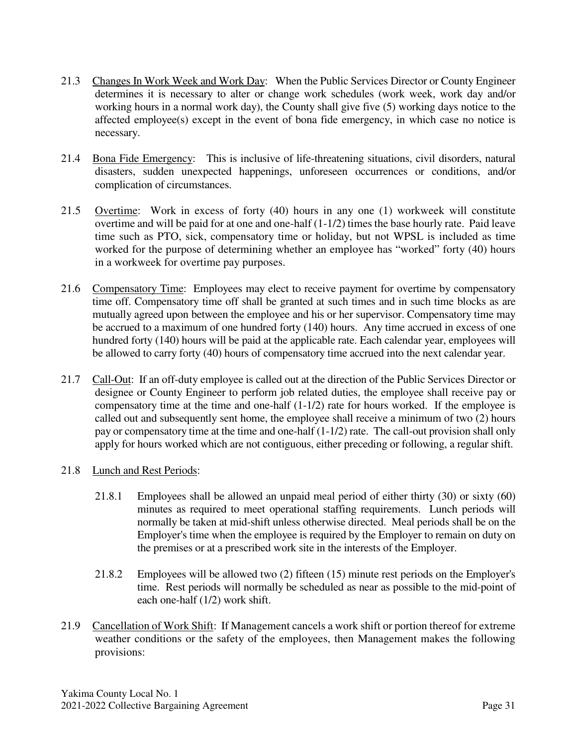- 21.3 Changes In Work Week and Work Day: When the Public Services Director or County Engineer determines it is necessary to alter or change work schedules (work week, work day and/or working hours in a normal work day), the County shall give five (5) working days notice to the affected employee(s) except in the event of bona fide emergency, in which case no notice is necessary.
- 21.4 Bona Fide Emergency: This is inclusive of life-threatening situations, civil disorders, natural disasters, sudden unexpected happenings, unforeseen occurrences or conditions, and/or complication of circumstances.
- 21.5 Overtime: Work in excess of forty (40) hours in any one (1) workweek will constitute overtime and will be paid for at one and one-half (1-1/2) times the base hourly rate. Paid leave time such as PTO, sick, compensatory time or holiday, but not WPSL is included as time worked for the purpose of determining whether an employee has "worked" forty (40) hours in a workweek for overtime pay purposes.
- 21.6 Compensatory Time: Employees may elect to receive payment for overtime by compensatory time off. Compensatory time off shall be granted at such times and in such time blocks as are mutually agreed upon between the employee and his or her supervisor. Compensatory time may be accrued to a maximum of one hundred forty (140) hours. Any time accrued in excess of one hundred forty (140) hours will be paid at the applicable rate. Each calendar year, employees will be allowed to carry forty (40) hours of compensatory time accrued into the next calendar year.
- 21.7 Call-Out: If an off-duty employee is called out at the direction of the Public Services Director or designee or County Engineer to perform job related duties, the employee shall receive pay or compensatory time at the time and one-half (1-1/2) rate for hours worked. If the employee is called out and subsequently sent home, the employee shall receive a minimum of two (2) hours pay or compensatory time at the time and one-half (1-1/2) rate. The call-out provision shall only apply for hours worked which are not contiguous, either preceding or following, a regular shift.
- 21.8 Lunch and Rest Periods:
	- 21.8.1 Employees shall be allowed an unpaid meal period of either thirty (30) or sixty (60) minutes as required to meet operational staffing requirements. Lunch periods will normally be taken at mid-shift unless otherwise directed. Meal periods shall be on the Employer's time when the employee is required by the Employer to remain on duty on the premises or at a prescribed work site in the interests of the Employer.
	- 21.8.2 Employees will be allowed two (2) fifteen (15) minute rest periods on the Employer's time. Rest periods will normally be scheduled as near as possible to the mid-point of each one-half (1/2) work shift.
- 21.9 Cancellation of Work Shift: If Management cancels a work shift or portion thereof for extreme weather conditions or the safety of the employees, then Management makes the following provisions: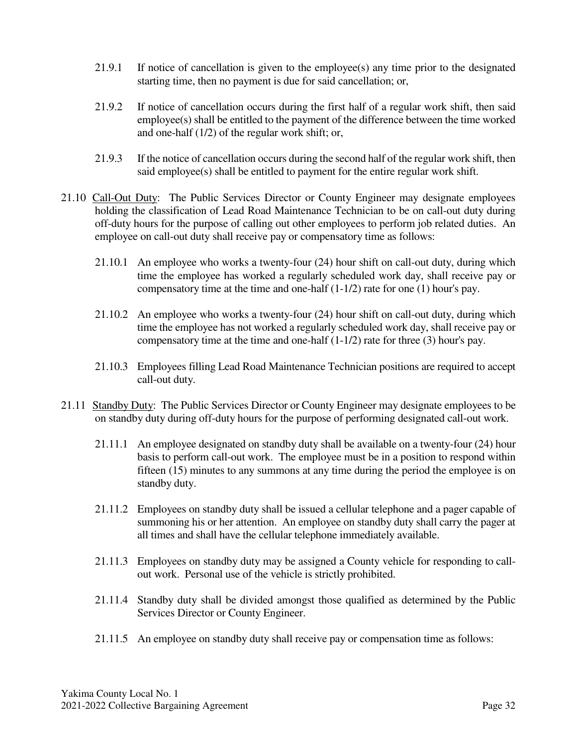- 21.9.1 If notice of cancellation is given to the employee(s) any time prior to the designated starting time, then no payment is due for said cancellation; or,
- 21.9.2 If notice of cancellation occurs during the first half of a regular work shift, then said employee(s) shall be entitled to the payment of the difference between the time worked and one-half (1/2) of the regular work shift; or,
- 21.9.3 If the notice of cancellation occurs during the second half of the regular work shift, then said employee(s) shall be entitled to payment for the entire regular work shift.
- 21.10 Call-Out Duty: The Public Services Director or County Engineer may designate employees holding the classification of Lead Road Maintenance Technician to be on call-out duty during off-duty hours for the purpose of calling out other employees to perform job related duties. An employee on call-out duty shall receive pay or compensatory time as follows:
	- 21.10.1 An employee who works a twenty-four (24) hour shift on call-out duty, during which time the employee has worked a regularly scheduled work day, shall receive pay or compensatory time at the time and one-half (1-1/2) rate for one (1) hour's pay.
	- 21.10.2 An employee who works a twenty-four (24) hour shift on call-out duty, during which time the employee has not worked a regularly scheduled work day, shall receive pay or compensatory time at the time and one-half (1-1/2) rate for three (3) hour's pay.
	- 21.10.3 Employees filling Lead Road Maintenance Technician positions are required to accept call-out duty.
- 21.11 Standby Duty: The Public Services Director or County Engineer may designate employees to be on standby duty during off-duty hours for the purpose of performing designated call-out work.
	- 21.11.1 An employee designated on standby duty shall be available on a twenty-four (24) hour basis to perform call-out work. The employee must be in a position to respond within fifteen (15) minutes to any summons at any time during the period the employee is on standby duty.
	- 21.11.2 Employees on standby duty shall be issued a cellular telephone and a pager capable of summoning his or her attention. An employee on standby duty shall carry the pager at all times and shall have the cellular telephone immediately available.
	- 21.11.3 Employees on standby duty may be assigned a County vehicle for responding to callout work. Personal use of the vehicle is strictly prohibited.
	- 21.11.4 Standby duty shall be divided amongst those qualified as determined by the Public Services Director or County Engineer.
	- 21.11.5 An employee on standby duty shall receive pay or compensation time as follows: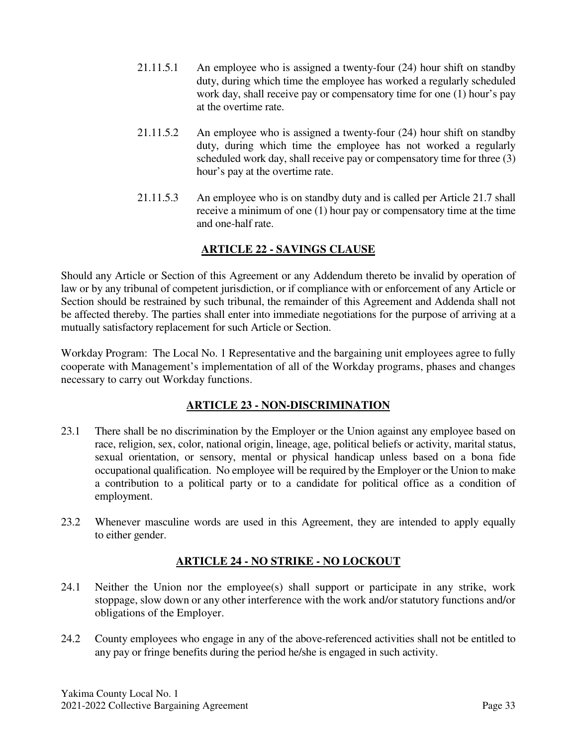- 21.11.5.1 An employee who is assigned a twenty-four (24) hour shift on standby duty, during which time the employee has worked a regularly scheduled work day, shall receive pay or compensatory time for one (1) hour's pay at the overtime rate.
- 21.11.5.2 An employee who is assigned a twenty-four (24) hour shift on standby duty, during which time the employee has not worked a regularly scheduled work day, shall receive pay or compensatory time for three (3) hour's pay at the overtime rate.
- 21.11.5.3 An employee who is on standby duty and is called per Article 21.7 shall receive a minimum of one (1) hour pay or compensatory time at the time and one-half rate.

## **ARTICLE 22 - SAVINGS CLAUSE**

Should any Article or Section of this Agreement or any Addendum thereto be invalid by operation of law or by any tribunal of competent jurisdiction, or if compliance with or enforcement of any Article or Section should be restrained by such tribunal, the remainder of this Agreement and Addenda shall not be affected thereby. The parties shall enter into immediate negotiations for the purpose of arriving at a mutually satisfactory replacement for such Article or Section.

Workday Program: The Local No. 1 Representative and the bargaining unit employees agree to fully cooperate with Management's implementation of all of the Workday programs, phases and changes necessary to carry out Workday functions.

## **ARTICLE 23 - NON-DISCRIMINATION**

- 23.1 There shall be no discrimination by the Employer or the Union against any employee based on race, religion, sex, color, national origin, lineage, age, political beliefs or activity, marital status, sexual orientation, or sensory, mental or physical handicap unless based on a bona fide occupational qualification. No employee will be required by the Employer or the Union to make a contribution to a political party or to a candidate for political office as a condition of employment.
- 23.2 Whenever masculine words are used in this Agreement, they are intended to apply equally to either gender.

## **ARTICLE 24 - NO STRIKE - NO LOCKOUT**

- 24.1 Neither the Union nor the employee(s) shall support or participate in any strike, work stoppage, slow down or any other interference with the work and/or statutory functions and/or obligations of the Employer.
- 24.2 County employees who engage in any of the above-referenced activities shall not be entitled to any pay or fringe benefits during the period he/she is engaged in such activity.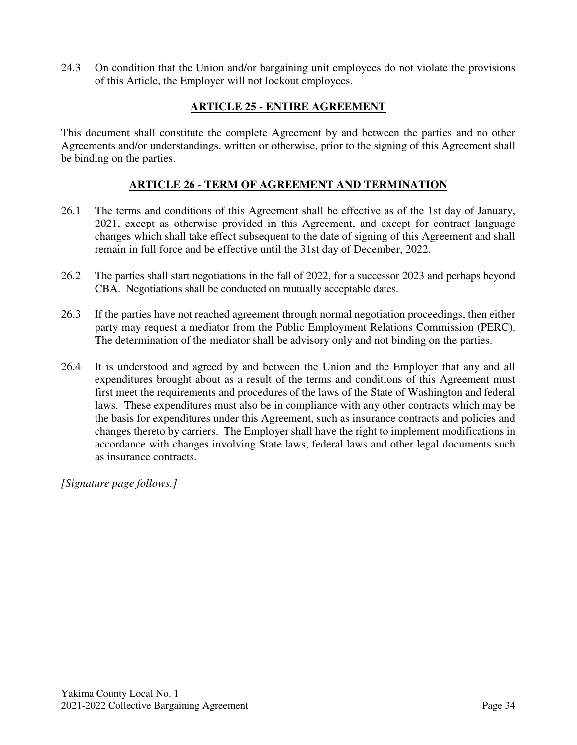24.3 On condition that the Union and/or bargaining unit employees do not violate the provisions of this Article, the Employer will not lockout employees.

## **ARTICLE 25 - ENTIRE AGREEMENT**

This document shall constitute the complete Agreement by and between the parties and no other Agreements and/or understandings, written or otherwise, prior to the signing of this Agreement shall be binding on the parties.

#### **ARTICLE 26 - TERM OF AGREEMENT AND TERMINATION**

- 26.1 The terms and conditions of this Agreement shall be effective as of the 1st day of January, 2021, except as otherwise provided in this Agreement, and except for contract language changes which shall take effect subsequent to the date of signing of this Agreement and shall remain in full force and be effective until the 31st day of December, 2022.
- 26.2 The parties shall start negotiations in the fall of 2022, for a successor 2023 and perhaps beyond CBA. Negotiations shall be conducted on mutually acceptable dates.
- 26.3 If the parties have not reached agreement through normal negotiation proceedings, then either party may request a mediator from the Public Employment Relations Commission (PERC). The determination of the mediator shall be advisory only and not binding on the parties.
- 26.4 It is understood and agreed by and between the Union and the Employer that any and all expenditures brought about as a result of the terms and conditions of this Agreement must first meet the requirements and procedures of the laws of the State of Washington and federal laws. These expenditures must also be in compliance with any other contracts which may be the basis for expenditures under this Agreement, such as insurance contracts and policies and changes thereto by carriers. The Employer shall have the right to implement modifications in accordance with changes involving State laws, federal laws and other legal documents such as insurance contracts.

*[Signature page follows.]*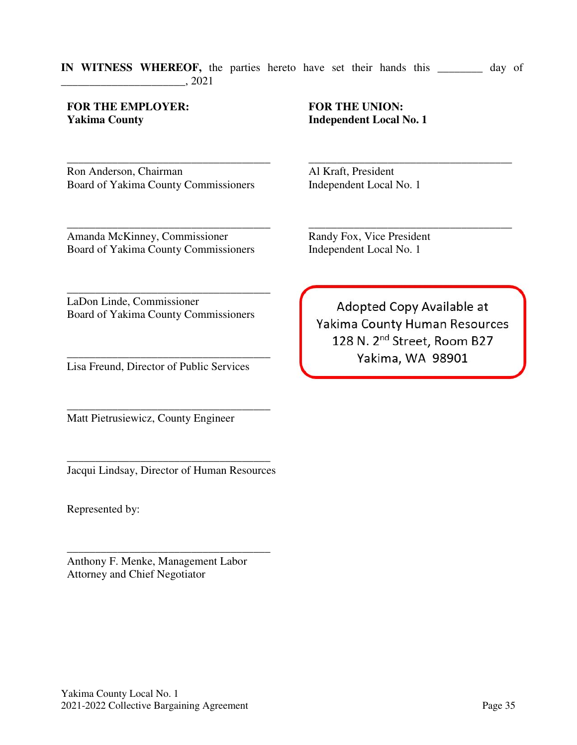#### **IN WITNESS WHEREOF,** the parties hereto have set their hands this \_\_\_\_\_\_\_\_ day of \_\_\_\_\_\_\_\_\_\_\_\_\_\_\_\_\_\_\_\_\_\_, 2021

#### **FOR THE EMPLOYER: Yakima County**

\_\_\_\_\_\_\_\_\_\_\_\_\_\_\_\_\_\_\_\_\_\_\_\_\_\_\_\_\_\_\_\_\_\_\_\_ Ron Anderson, Chairman Board of Yakima County Commissioners

## **FOR THE UNION: Independent Local No. 1**

\_\_\_\_\_\_\_\_\_\_\_\_\_\_\_\_\_\_\_\_\_\_\_\_\_\_\_\_\_\_\_\_\_\_\_\_ Al Kraft, President Independent Local No. 1

\_\_\_\_\_\_\_\_\_\_\_\_\_\_\_\_\_\_\_\_\_\_\_\_\_\_\_\_\_\_\_\_\_\_\_\_ Amanda McKinney, Commissioner Board of Yakima County Commissioners

Randy Fox, Vice President Independent Local No. 1

\_\_\_\_\_\_\_\_\_\_\_\_\_\_\_\_\_\_\_\_\_\_\_\_\_\_\_\_\_\_\_\_\_\_\_\_ LaDon Linde, Commissioner Board of Yakima County Commissioners

\_\_\_\_\_\_\_\_\_\_\_\_\_\_\_\_\_\_\_\_\_\_\_\_\_\_\_\_\_\_\_\_\_\_\_\_ Lisa Freund, Director of Public Services

\_\_\_\_\_\_\_\_\_\_\_\_\_\_\_\_\_\_\_\_\_\_\_\_\_\_\_\_\_\_\_\_\_\_\_\_ Matt Pietrusiewicz, County Engineer

\_\_\_\_\_\_\_\_\_\_\_\_\_\_\_\_\_\_\_\_\_\_\_\_\_\_\_\_\_\_\_\_\_\_\_\_ Jacqui Lindsay, Director of Human Resources

Represented by:

\_\_\_\_\_\_\_\_\_\_\_\_\_\_\_\_\_\_\_\_\_\_\_\_\_\_\_\_\_\_\_\_\_\_\_\_ Anthony F. Menke, Management Labor Attorney and Chief Negotiator

Adopted Copy Available at Yakima County Human Resources 128 N. 2<sup>nd</sup> Street, Room B27 Yakima, WA 98901

\_\_\_\_\_\_\_\_\_\_\_\_\_\_\_\_\_\_\_\_\_\_\_\_\_\_\_\_\_\_\_\_\_\_\_\_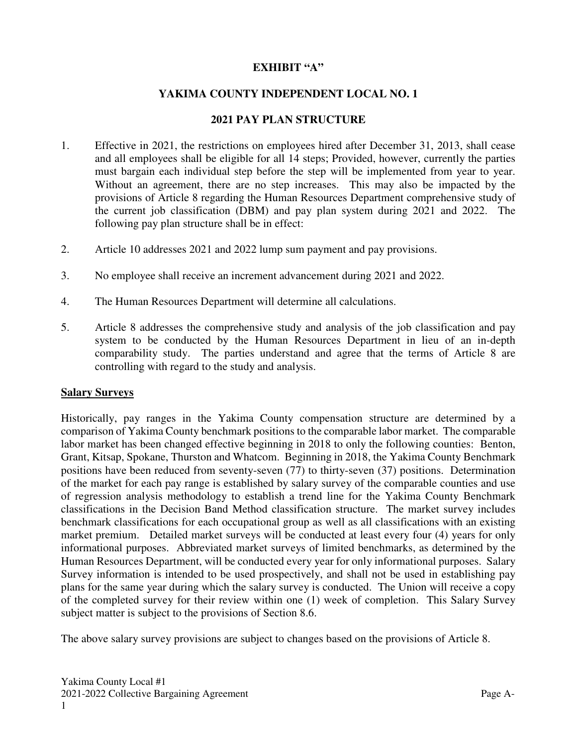#### **EXHIBIT "A"**

#### **YAKIMA COUNTY INDEPENDENT LOCAL NO. 1**

#### **2021 PAY PLAN STRUCTURE**

- 1. Effective in 2021, the restrictions on employees hired after December 31, 2013, shall cease and all employees shall be eligible for all 14 steps; Provided, however, currently the parties must bargain each individual step before the step will be implemented from year to year. Without an agreement, there are no step increases. This may also be impacted by the provisions of Article 8 regarding the Human Resources Department comprehensive study of the current job classification (DBM) and pay plan system during 2021 and 2022. The following pay plan structure shall be in effect:
- 2. Article 10 addresses 2021 and 2022 lump sum payment and pay provisions.
- 3. No employee shall receive an increment advancement during 2021 and 2022.
- 4. The Human Resources Department will determine all calculations.
- 5. Article 8 addresses the comprehensive study and analysis of the job classification and pay system to be conducted by the Human Resources Department in lieu of an in-depth comparability study. The parties understand and agree that the terms of Article 8 are controlling with regard to the study and analysis.

#### **Salary Surveys**

Historically, pay ranges in the Yakima County compensation structure are determined by a comparison of Yakima County benchmark positions to the comparable labor market. The comparable labor market has been changed effective beginning in 2018 to only the following counties: Benton, Grant, Kitsap, Spokane, Thurston and Whatcom. Beginning in 2018, the Yakima County Benchmark positions have been reduced from seventy-seven (77) to thirty-seven (37) positions. Determination of the market for each pay range is established by salary survey of the comparable counties and use of regression analysis methodology to establish a trend line for the Yakima County Benchmark classifications in the Decision Band Method classification structure. The market survey includes benchmark classifications for each occupational group as well as all classifications with an existing market premium. Detailed market surveys will be conducted at least every four (4) years for only informational purposes. Abbreviated market surveys of limited benchmarks, as determined by the Human Resources Department, will be conducted every year for only informational purposes. Salary Survey information is intended to be used prospectively, and shall not be used in establishing pay plans for the same year during which the salary survey is conducted. The Union will receive a copy of the completed survey for their review within one (1) week of completion. This Salary Survey subject matter is subject to the provisions of Section 8.6.

The above salary survey provisions are subject to changes based on the provisions of Article 8.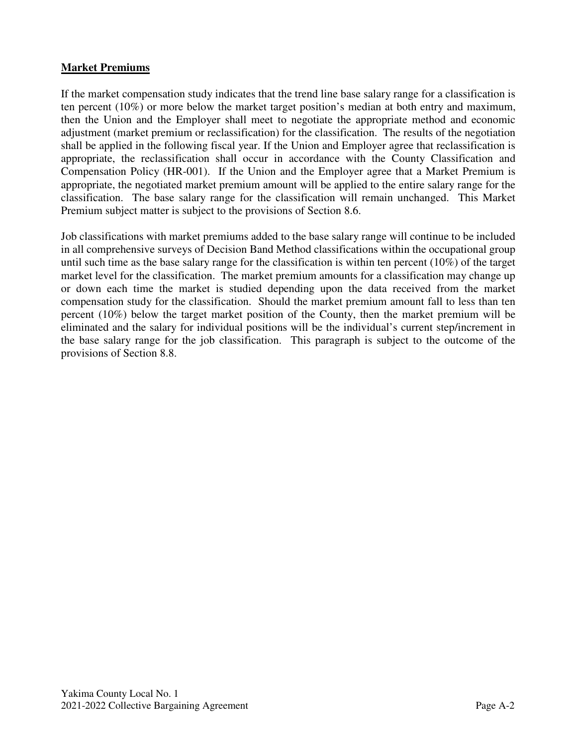#### **Market Premiums**

If the market compensation study indicates that the trend line base salary range for a classification is ten percent (10%) or more below the market target position's median at both entry and maximum, then the Union and the Employer shall meet to negotiate the appropriate method and economic adjustment (market premium or reclassification) for the classification. The results of the negotiation shall be applied in the following fiscal year. If the Union and Employer agree that reclassification is appropriate, the reclassification shall occur in accordance with the County Classification and Compensation Policy (HR-001). If the Union and the Employer agree that a Market Premium is appropriate, the negotiated market premium amount will be applied to the entire salary range for the classification. The base salary range for the classification will remain unchanged. This Market Premium subject matter is subject to the provisions of Section 8.6.

Job classifications with market premiums added to the base salary range will continue to be included in all comprehensive surveys of Decision Band Method classifications within the occupational group until such time as the base salary range for the classification is within ten percent (10%) of the target market level for the classification. The market premium amounts for a classification may change up or down each time the market is studied depending upon the data received from the market compensation study for the classification. Should the market premium amount fall to less than ten percent (10%) below the target market position of the County, then the market premium will be eliminated and the salary for individual positions will be the individual's current step/increment in the base salary range for the job classification. This paragraph is subject to the outcome of the provisions of Section 8.8.